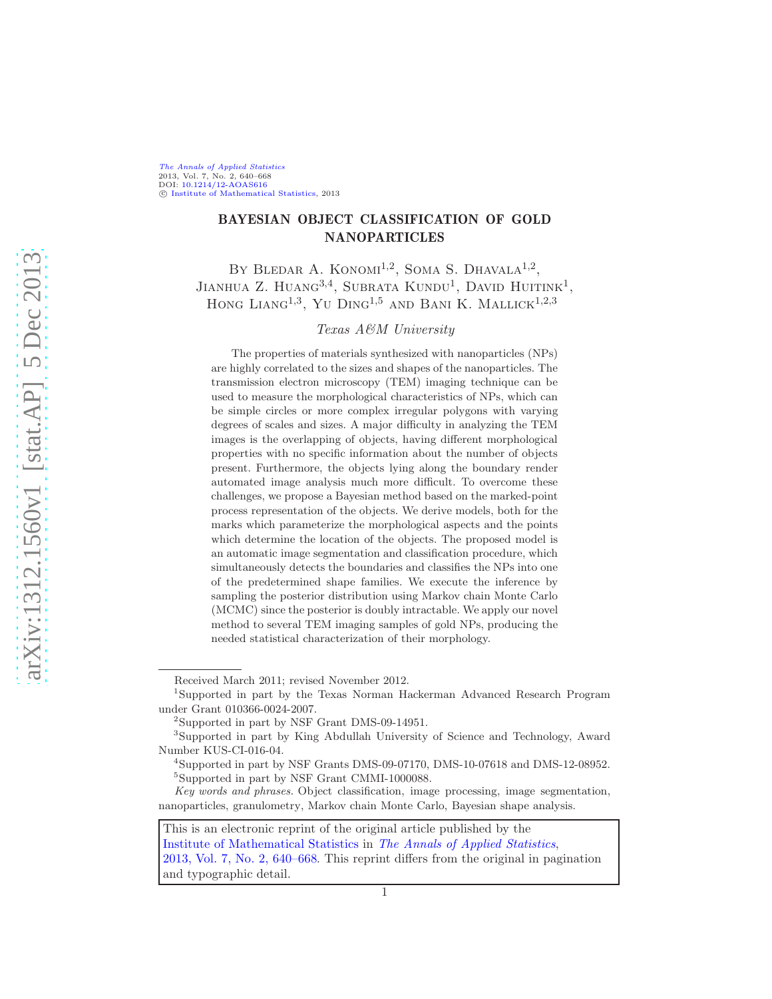#### [The Annals of Applied Statistics](http://www.imstat.org/aoas/) 2013, Vol. 7, No. 2, 640–668 DOI: [10.1214/12-AOAS616](http://dx.doi.org/10.1214/12-AOAS616) C [Institute of Mathematical Statistics,](http://www.imstat.org) 2013

# BAYESIAN OBJECT CLASSIFICATION OF GOLD NANOPARTICLES

BY BLEDAR A. KONOMI<sup>1,2</sup>, SOMA S. DHAVALA<sup>1,2</sup>, JIANHUA Z. HUANG<sup>3,4</sup>, SUBRATA KUNDU<sup>1</sup>, DAVID HUITINK<sup>1</sup>, HONG LIANG<sup>1,3</sup>, YU DING<sup>1,5</sup> AND BANI K. MALLICK<sup>1,2,3</sup>

## Texas A&M University

The properties of materials synthesized with nanoparticles (NPs) are highly correlated to the sizes and shapes of the nanoparticles. The transmission electron microscopy (TEM) imaging technique can be used to measure the morphological characteristics of NPs, which can be simple circles or more complex irregular polygons with varying degrees of scales and sizes. A major difficulty in analyzing the TEM images is the overlapping of objects, having different morphological properties with no specific information about the number of objects present. Furthermore, the objects lying along the boundary render automated image analysis much more difficult. To overcome these challenges, we propose a Bayesian method based on the marked-point process representation of the objects. We derive models, both for the marks which parameterize the morphological aspects and the points which determine the location of the objects. The proposed model is an automatic image segmentation and classification procedure, which simultaneously detects the boundaries and classifies the NPs into one of the predetermined shape families. We execute the inference by sampling the posterior distribution using Markov chain Monte Carlo (MCMC) since the posterior is doubly intractable. We apply our novel method to several TEM imaging samples of gold NPs, producing the needed statistical characterization of their morphology.

Received March 2011; revised November 2012.

<sup>1</sup> Supported in part by the Texas Norman Hackerman Advanced Research Program under Grant 010366-0024-2007.

<sup>2</sup> Supported in part by NSF Grant DMS-09-14951.

<sup>3</sup> Supported in part by King Abdullah University of Science and Technology, Award Number KUS-CI-016-04.

<sup>4</sup> Supported in part by NSF Grants DMS-09-07170, DMS-10-07618 and DMS-12-08952. 5 Supported in part by NSF Grant CMMI-1000088.

Key words and phrases. Object classification, image processing, image segmentation, nanoparticles, granulometry, Markov chain Monte Carlo, Bayesian shape analysis.

This is an electronic reprint of the original article published by the [Institute of Mathematical Statistics](http://www.imstat.org) in [The Annals of Applied Statistics](http://www.imstat.org/aoas/), [2013, Vol. 7, No. 2, 640–668.](http://dx.doi.org/10.1214/12-AOAS616) This reprint differs from the original in pagination and typographic detail.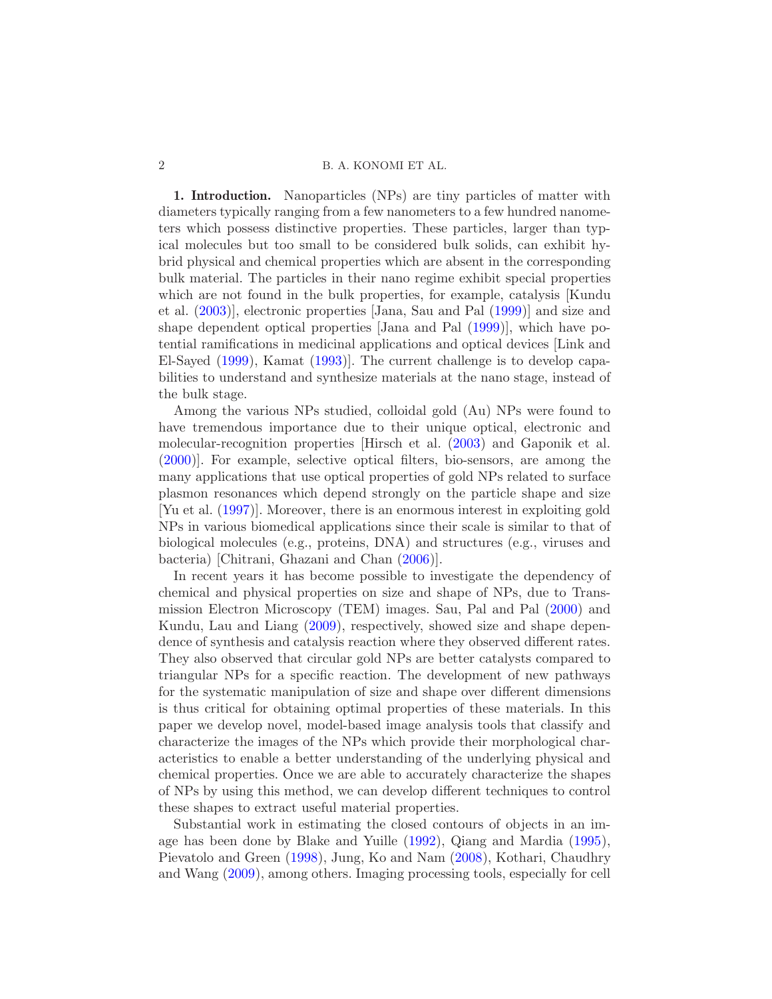1. Introduction. Nanoparticles (NPs) are tiny particles of matter with diameters typically ranging from a few nanometers to a few hundred nanometers which possess distinctive properties. These particles, larger than typical molecules but too small to be considered bulk solids, can exhibit hybrid physical and chemical properties which are absent in the corresponding bulk material. The particles in their nano regime exhibit special properties which are not found in the bulk properties, for example, catalysis [Kundu et al. [\(2003\)](#page-28-0)], electronic properties [Jana, Sau and Pal [\(1999](#page-28-1))] and size and shape dependent optical properties [Jana and Pal [\(1999](#page-28-2))], which have potential ramifications in medicinal applications and optical devices [Link and El-Sayed [\(1999](#page-28-3)), Kamat [\(1993](#page-28-4))]. The current challenge is to develop capabilities to understand and synthesize materials at the nano stage, instead of the bulk stage.

Among the various NPs studied, colloidal gold (Au) NPs were found to have tremendous importance due to their unique optical, electronic and molecular-recognition properties [Hirsch et al. [\(2003](#page-28-5)) and Gaponik et al. [\(2000\)](#page-27-0)]. For example, selective optical filters, bio-sensors, are among the many applications that use optical properties of gold NPs related to surface plasmon resonances which depend strongly on the particle shape and size [Yu et al. [\(1997](#page-29-0))]. Moreover, there is an enormous interest in exploiting gold NPs in various biomedical applications since their scale is similar to that of biological molecules (e.g., proteins, DNA) and structures (e.g., viruses and bacteria) [Chitrani, Ghazani and Chan [\(2006](#page-27-1))].

In recent years it has become possible to investigate the dependency of chemical and physical properties on size and shape of NPs, due to Transmission Electron Microscopy (TEM) images. Sau, Pal and Pal [\(2000](#page-29-1)) and Kundu, Lau and Liang [\(2009\)](#page-28-6), respectively, showed size and shape dependence of synthesis and catalysis reaction where they observed different rates. They also observed that circular gold NPs are better catalysts compared to triangular NPs for a specific reaction. The development of new pathways for the systematic manipulation of size and shape over different dimensions is thus critical for obtaining optimal properties of these materials. In this paper we develop novel, model-based image analysis tools that classify and characterize the images of the NPs which provide their morphological characteristics to enable a better understanding of the underlying physical and chemical properties. Once we are able to accurately characterize the shapes of NPs by using this method, we can develop different techniques to control these shapes to extract useful material properties.

Substantial work in estimating the closed contours of objects in an image has been done by Blake and Yuille [\(1992\)](#page-27-2), Qiang and Mardia [\(1995](#page-29-2)), Pievatolo and Green [\(1998](#page-29-3)), Jung, Ko and Nam [\(2008\)](#page-28-7), Kothari, Chaudhry and Wang [\(2009](#page-28-8)), among others. Imaging processing tools, especially for cell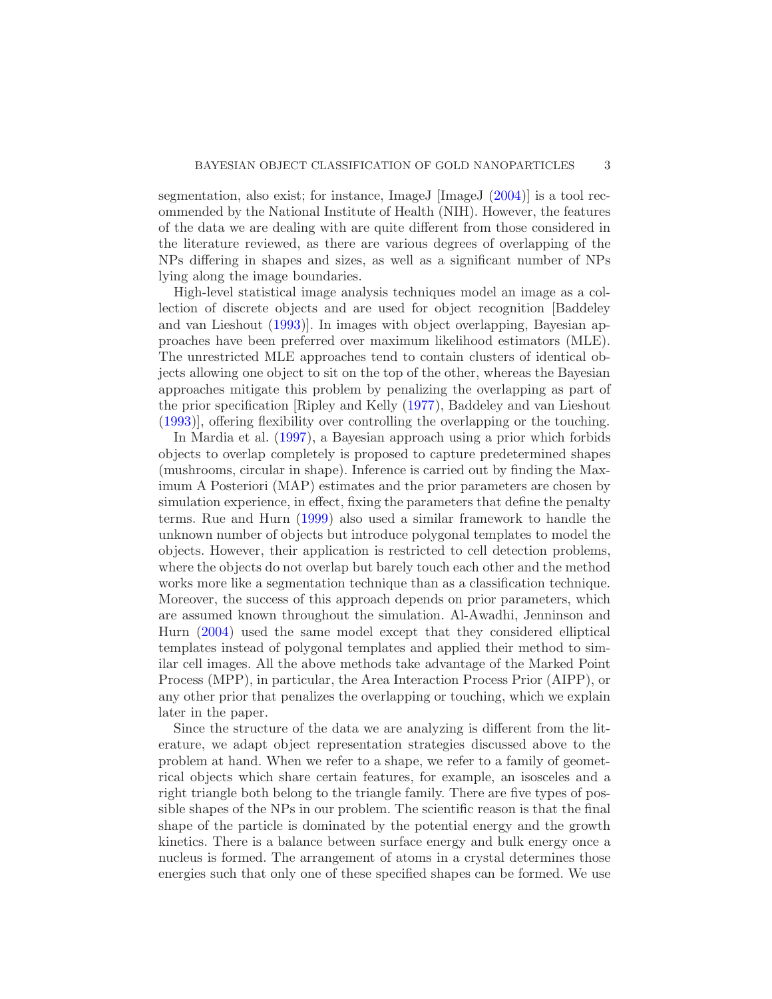segmentation, also exist; for instance, ImageJ [ImageJ [\(2004](#page-28-9))] is a tool recommended by the National Institute of Health (NIH). However, the features of the data we are dealing with are quite different from those considered in the literature reviewed, as there are various degrees of overlapping of the NPs differing in shapes and sizes, as well as a significant number of NPs lying along the image boundaries.

High-level statistical image analysis techniques model an image as a collection of discrete objects and are used for object recognition [Baddeley and van Lieshout [\(1993](#page-27-3))]. In images with object overlapping, Bayesian approaches have been preferred over maximum likelihood estimators (MLE). The unrestricted MLE approaches tend to contain clusters of identical objects allowing one object to sit on the top of the other, whereas the Bayesian approaches mitigate this problem by penalizing the overlapping as part of the prior specification [Ripley and Kelly [\(1977](#page-29-4)), Baddeley and van Lieshout [\(1993\)](#page-27-3)], offering flexibility over controlling the overlapping or the touching.

In Mardia et al. [\(1997](#page-28-10)), a Bayesian approach using a prior which forbids objects to overlap completely is proposed to capture predetermined shapes (mushrooms, circular in shape). Inference is carried out by finding the Maximum A Posteriori (MAP) estimates and the prior parameters are chosen by simulation experience, in effect, fixing the parameters that define the penalty terms. Rue and Hurn [\(1999](#page-29-5)) also used a similar framework to handle the unknown number of objects but introduce polygonal templates to model the objects. However, their application is restricted to cell detection problems, where the objects do not overlap but barely touch each other and the method works more like a segmentation technique than as a classification technique. Moreover, the success of this approach depends on prior parameters, which are assumed known throughout the simulation. Al-Awadhi, Jenninson and Hurn [\(2004](#page-27-4)) used the same model except that they considered elliptical templates instead of polygonal templates and applied their method to similar cell images. All the above methods take advantage of the Marked Point Process (MPP), in particular, the Area Interaction Process Prior (AIPP), or any other prior that penalizes the overlapping or touching, which we explain later in the paper.

Since the structure of the data we are analyzing is different from the literature, we adapt object representation strategies discussed above to the problem at hand. When we refer to a shape, we refer to a family of geometrical objects which share certain features, for example, an isosceles and a right triangle both belong to the triangle family. There are five types of possible shapes of the NPs in our problem. The scientific reason is that the final shape of the particle is dominated by the potential energy and the growth kinetics. There is a balance between surface energy and bulk energy once a nucleus is formed. The arrangement of atoms in a crystal determines those energies such that only one of these specified shapes can be formed. We use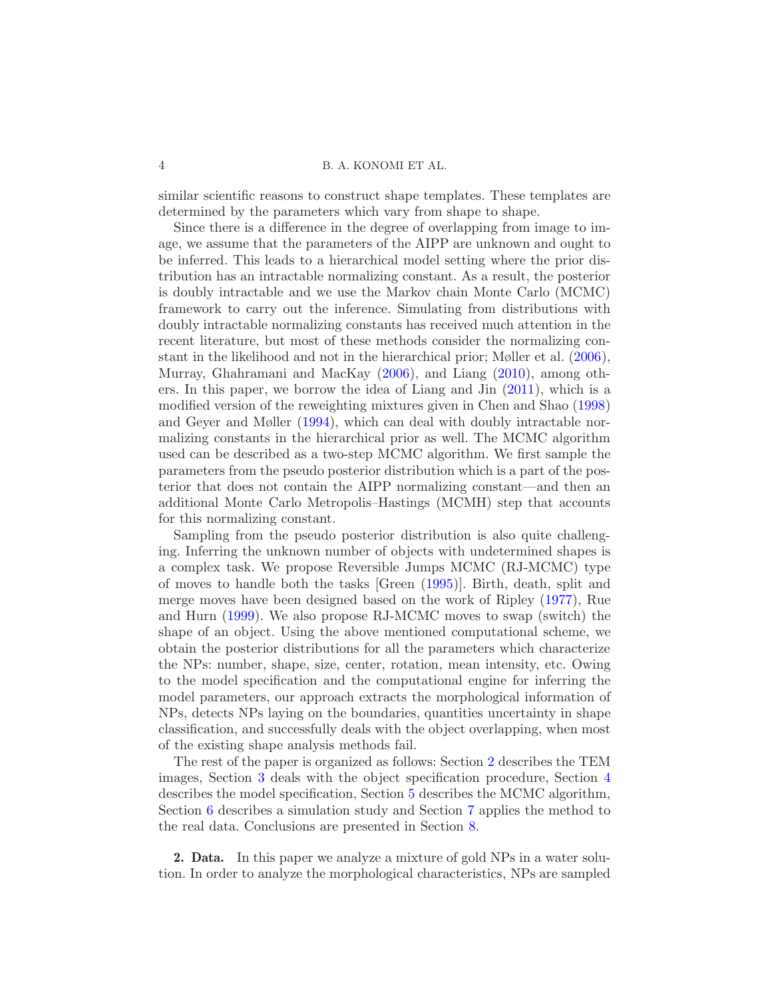similar scientific reasons to construct shape templates. These templates are determined by the parameters which vary from shape to shape.

Since there is a difference in the degree of overlapping from image to image, we assume that the parameters of the AIPP are unknown and ought to be inferred. This leads to a hierarchical model setting where the prior distribution has an intractable normalizing constant. As a result, the posterior is doubly intractable and we use the Markov chain Monte Carlo (MCMC) framework to carry out the inference. Simulating from distributions with doubly intractable normalizing constants has received much attention in the recent literature, but most of these methods consider the normalizing constant in the likelihood and not in the hierarchical prior; Møller et al. [\(2006](#page-29-6)), Murray, Ghahramani and MacKay [\(2006](#page-29-7)), and Liang [\(2010\)](#page-28-11), among others. In this paper, we borrow the idea of Liang and Jin [\(2011](#page-28-12)), which is a modified version of the reweighting mixtures given in Chen and Shao [\(1998](#page-27-5)) and Geyer and Møller [\(1994](#page-28-13)), which can deal with doubly intractable normalizing constants in the hierarchical prior as well. The MCMC algorithm used can be described as a two-step MCMC algorithm. We first sample the parameters from the pseudo posterior distribution which is a part of the posterior that does not contain the AIPP normalizing constant—and then an additional Monte Carlo Metropolis–Hastings (MCMH) step that accounts for this normalizing constant.

Sampling from the pseudo posterior distribution is also quite challenging. Inferring the unknown number of objects with undetermined shapes is a complex task. We propose Reversible Jumps MCMC (RJ-MCMC) type of moves to handle both the tasks [Green [\(1995\)](#page-28-14)]. Birth, death, split and merge moves have been designed based on the work of Ripley [\(1977](#page-29-8)), Rue and Hurn [\(1999](#page-29-5)). We also propose RJ-MCMC moves to swap (switch) the shape of an object. Using the above mentioned computational scheme, we obtain the posterior distributions for all the parameters which characterize the NPs: number, shape, size, center, rotation, mean intensity, etc. Owing to the model specification and the computational engine for inferring the model parameters, our approach extracts the morphological information of NPs, detects NPs laying on the boundaries, quantities uncertainty in shape classification, and successfully deals with the object overlapping, when most of the existing shape analysis methods fail.

The rest of the paper is organized as follows: Section [2](#page-3-0) describes the TEM images, Section [3](#page-5-0) deals with the object specification procedure, Section [4](#page-7-0) describes the model specification, Section [5](#page-10-0) describes the MCMC algorithm, Section [6](#page-12-0) describes a simulation study and Section [7](#page-16-0) applies the method to the real data. Conclusions are presented in Section [8.](#page-24-0)

<span id="page-3-0"></span>2. Data. In this paper we analyze a mixture of gold NPs in a water solution. In order to analyze the morphological characteristics, NPs are sampled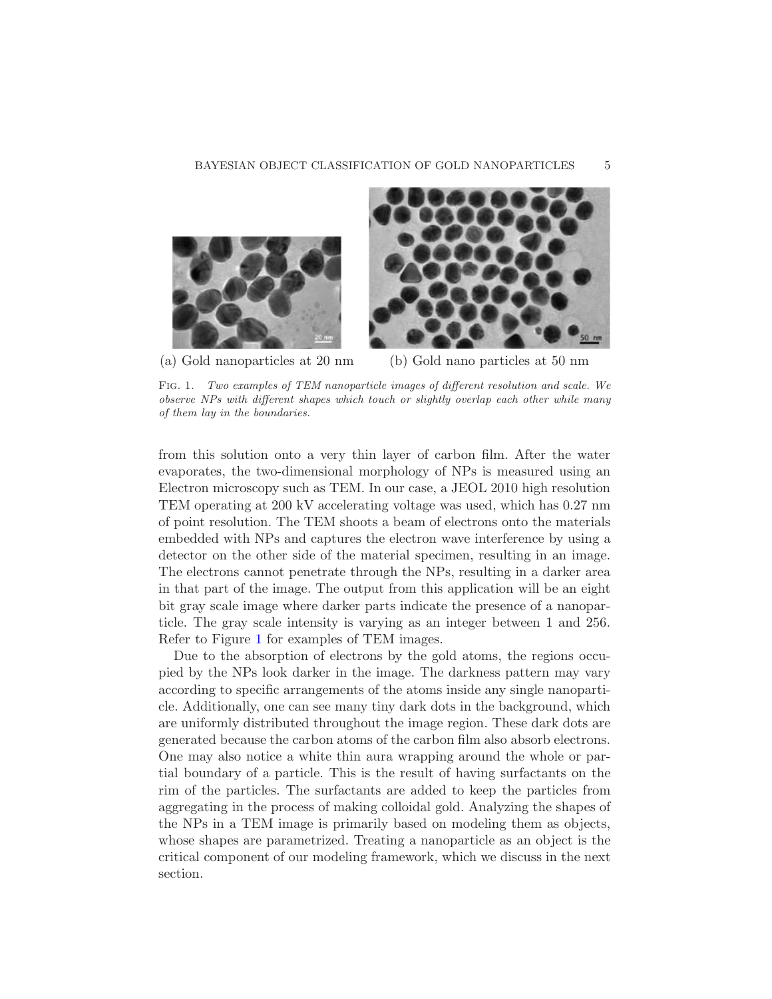#### BAYESIAN OBJECT CLASSIFICATION OF GOLD NANOPARTICLES 5



(a) Gold nanoparticles at 20 nm (b) Gold nano particles at 50 nm

<span id="page-4-0"></span>Fig. 1. Two examples of TEM nanoparticle images of different resolution and scale. We observe NPs with different shapes which touch or slightly overlap each other while many of them lay in the boundaries.

from this solution onto a very thin layer of carbon film. After the water evaporates, the two-dimensional morphology of NPs is measured using an Electron microscopy such as TEM. In our case, a JEOL 2010 high resolution TEM operating at 200 kV accelerating voltage was used, which has 0.27 nm of point resolution. The TEM shoots a beam of electrons onto the materials embedded with NPs and captures the electron wave interference by using a detector on the other side of the material specimen, resulting in an image. The electrons cannot penetrate through the NPs, resulting in a darker area in that part of the image. The output from this application will be an eight bit gray scale image where darker parts indicate the presence of a nanoparticle. The gray scale intensity is varying as an integer between 1 and 256. Refer to Figure [1](#page-4-0) for examples of TEM images.

Due to the absorption of electrons by the gold atoms, the regions occupied by the NPs look darker in the image. The darkness pattern may vary according to specific arrangements of the atoms inside any single nanoparticle. Additionally, one can see many tiny dark dots in the background, which are uniformly distributed throughout the image region. These dark dots are generated because the carbon atoms of the carbon film also absorb electrons. One may also notice a white thin aura wrapping around the whole or partial boundary of a particle. This is the result of having surfactants on the rim of the particles. The surfactants are added to keep the particles from aggregating in the process of making colloidal gold. Analyzing the shapes of the NPs in a TEM image is primarily based on modeling them as objects, whose shapes are parametrized. Treating a nanoparticle as an object is the critical component of our modeling framework, which we discuss in the next section.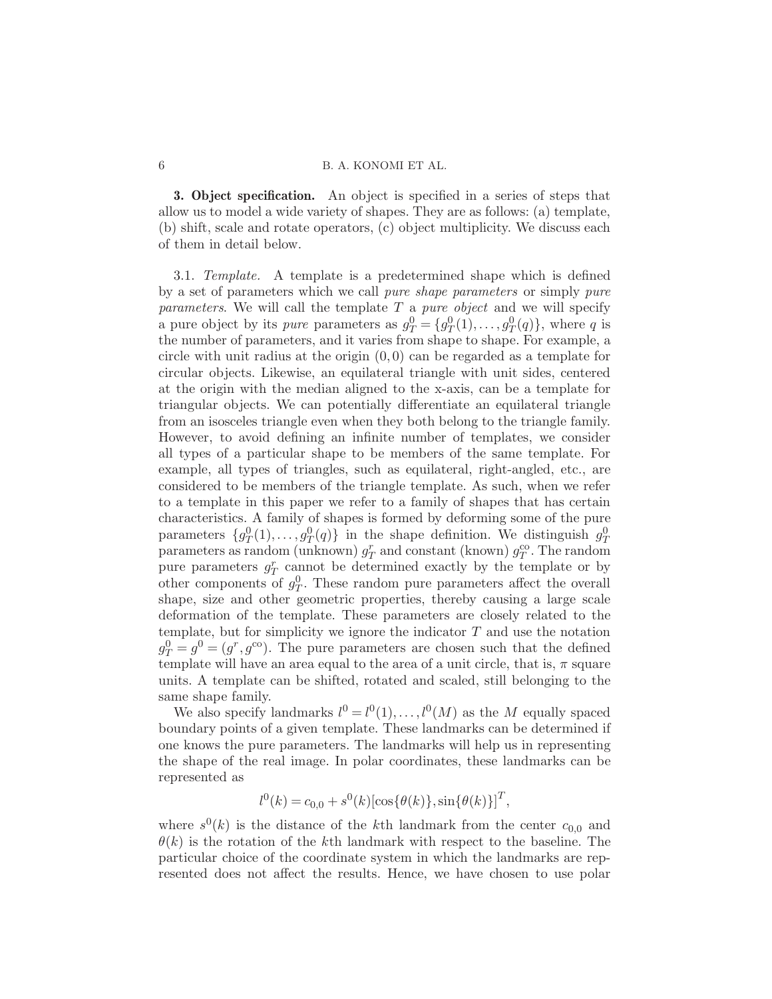<span id="page-5-0"></span>3. Object specification. An object is specified in a series of steps that allow us to model a wide variety of shapes. They are as follows: (a) template, (b) shift, scale and rotate operators, (c) object multiplicity. We discuss each of them in detail below.

3.1. Template. A template is a predetermined shape which is defined by a set of parameters which we call pure shape parameters or simply pure *parameters.* We will call the template  $T$  a *pure object* and we will specify a pure object by its *pure* parameters as  $g_T^0 = \{g_T^0(1), \ldots, g_T^0(q)\}\$ , where q is the number of parameters, and it varies from shape to shape. For example, a circle with unit radius at the origin  $(0, 0)$  can be regarded as a template for circular objects. Likewise, an equilateral triangle with unit sides, centered at the origin with the median aligned to the x-axis, can be a template for triangular objects. We can potentially differentiate an equilateral triangle from an isosceles triangle even when they both belong to the triangle family. However, to avoid defining an infinite number of templates, we consider all types of a particular shape to be members of the same template. For example, all types of triangles, such as equilateral, right-angled, etc., are considered to be members of the triangle template. As such, when we refer to a template in this paper we refer to a family of shapes that has certain characteristics. A family of shapes is formed by deforming some of the pure parameters  $\{g_T^0(1), \ldots, g_T^0(q)\}\$ in the shape definition. We distinguish  $g_T^0$ parameters as random (unknown)  $g_T^r$  and constant (known)  $g_T^{\text{co}}$ . The random pure parameters  $g_T^r$  cannot be determined exactly by the template or by other components of  $g_T^0$ . These random pure parameters affect the overall shape, size and other geometric properties, thereby causing a large scale deformation of the template. These parameters are closely related to the template, but for simplicity we ignore the indicator  $T$  and use the notation  $g_T^0 = g^0 = (g^r, g^{\text{co}})$ . The pure parameters are chosen such that the defined template will have an area equal to the area of a unit circle, that is,  $\pi$  square units. A template can be shifted, rotated and scaled, still belonging to the same shape family.

We also specify landmarks  $l^0 = l^0(1), \ldots, l^0(M)$  as the M equally spaced boundary points of a given template. These landmarks can be determined if one knows the pure parameters. The landmarks will help us in representing the shape of the real image. In polar coordinates, these landmarks can be represented as

$$
l^{0}(k) = c_{0,0} + s^{0}(k)[\cos{\lbrace \theta(k) \rbrace}, \sin{\lbrace \theta(k) \rbrace}]^{T},
$$

where  $s^0(k)$  is the distance of the kth landmark from the center  $c_{0,0}$  and  $\theta(k)$  is the rotation of the kth landmark with respect to the baseline. The particular choice of the coordinate system in which the landmarks are represented does not affect the results. Hence, we have chosen to use polar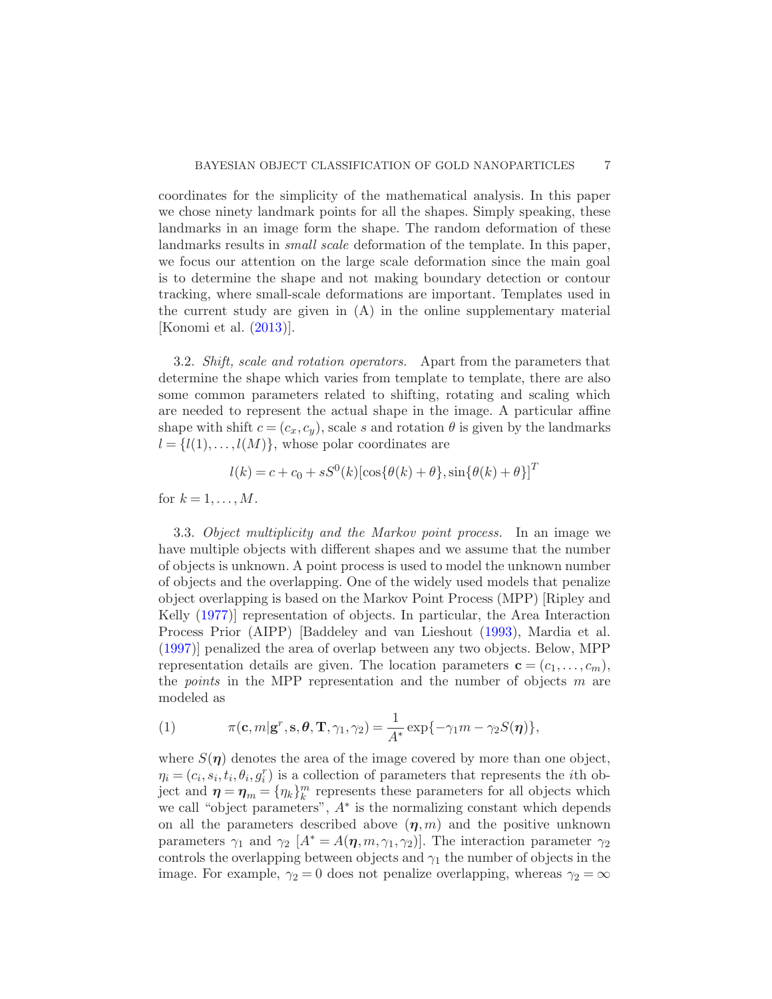coordinates for the simplicity of the mathematical analysis. In this paper we chose ninety landmark points for all the shapes. Simply speaking, these landmarks in an image form the shape. The random deformation of these landmarks results in *small scale* deformation of the template. In this paper, we focus our attention on the large scale deformation since the main goal is to determine the shape and not making boundary detection or contour tracking, where small-scale deformations are important. Templates used in the current study are given in (A) in the online supplementary material [Konomi et al. [\(2013](#page-28-15))].

3.2. Shift, scale and rotation operators. Apart from the parameters that determine the shape which varies from template to template, there are also some common parameters related to shifting, rotating and scaling which are needed to represent the actual shape in the image. A particular affine shape with shift  $c = (c_x, c_y)$ , scale s and rotation  $\theta$  is given by the landmarks  $l = \{l(1), \ldots, l(M)\}\text{, whose polar coordinates are}$ 

$$
l(k) = c + c_0 + sS^{0}(k)[\cos{\{\theta(k) + \theta\}}, \sin{\{\theta(k) + \theta\}}]^{T}
$$

for  $k = 1, \ldots, M$ .

3.3. Object multiplicity and the Markov point process. In an image we have multiple objects with different shapes and we assume that the number of objects is unknown. A point process is used to model the unknown number of objects and the overlapping. One of the widely used models that penalize object overlapping is based on the Markov Point Process (MPP) [Ripley and Kelly [\(1977](#page-29-4))] representation of objects. In particular, the Area Interaction Process Prior (AIPP) [Baddeley and van Lieshout [\(1993](#page-27-3)), Mardia et al. [\(1997\)](#page-28-10)] penalized the area of overlap between any two objects. Below, MPP representation details are given. The location parameters  $\mathbf{c} = (c_1, \ldots, c_m)$ , the *points* in the MPP representation and the number of objects  $m$  are modeled as

(1) 
$$
\pi(\mathbf{c}, m | \mathbf{g}^r, \mathbf{s}, \boldsymbol{\theta}, \mathbf{T}, \gamma_1, \gamma_2) = \frac{1}{A^*} \exp\{-\gamma_1 m - \gamma_2 S(\boldsymbol{\eta})\},
$$

where  $S(\eta)$  denotes the area of the image covered by more than one object,  $\eta_i = (c_i, s_i, t_i, \theta_i, g_i^r)$  is a collection of parameters that represents the *i*th object and  $\eta = \eta_m = {\eta_k}_{k}^{m}$  represents these parameters for all objects which we call "object parameters", A<sup>∗</sup> is the normalizing constant which depends on all the parameters described above  $(\eta, m)$  and the positive unknown parameters  $\gamma_1$  and  $\gamma_2$  [ $A^* = A(\eta, m, \gamma_1, \gamma_2)$ ]. The interaction parameter  $\gamma_2$ controls the overlapping between objects and  $\gamma_1$  the number of objects in the image. For example,  $\gamma_2 = 0$  does not penalize overlapping, whereas  $\gamma_2 = \infty$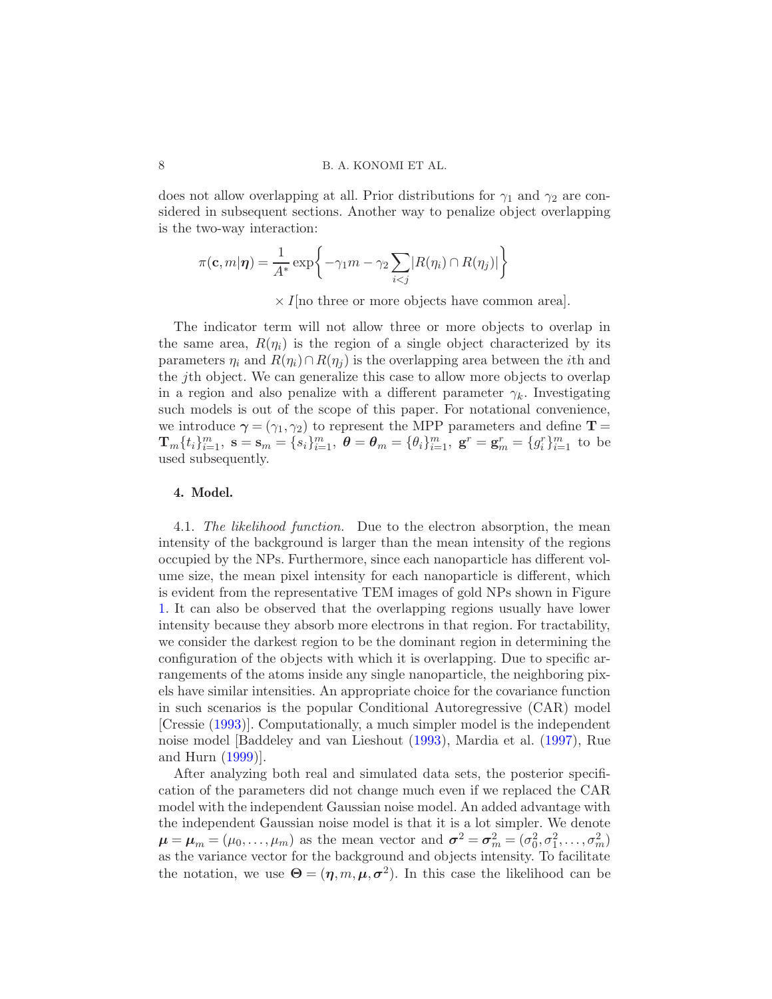does not allow overlapping at all. Prior distributions for  $\gamma_1$  and  $\gamma_2$  are considered in subsequent sections. Another way to penalize object overlapping is the two-way interaction:

$$
\pi(\mathbf{c}, m|\boldsymbol{\eta}) = \frac{1}{A^*} \exp\bigg\{-\gamma_1 m - \gamma_2 \sum_{i < j} |R(\eta_i) \cap R(\eta_j)|\bigg\}
$$

 $\times I$  [no three or more objects have common area].

The indicator term will not allow three or more objects to overlap in the same area,  $R(\eta_i)$  is the region of a single object characterized by its parameters  $\eta_i$  and  $R(\eta_i) \cap R(\eta_j)$  is the overlapping area between the *i*th and the jth object. We can generalize this case to allow more objects to overlap in a region and also penalize with a different parameter  $\gamma_k$ . Investigating such models is out of the scope of this paper. For notational convenience, we introduce  $\gamma = (\gamma_1, \gamma_2)$  to represent the MPP parameters and define  $\mathbf{T} =$  $\mathbf{T}_m\{t_i\}_{i=1}^m$ ,  $\mathbf{s} = \mathbf{s}_m = \{s_i\}_{i=1}^m$ ,  $\boldsymbol{\theta} = \boldsymbol{\theta}_m = \{\theta_i\}_{i=1}^m$ ,  $\mathbf{g}^r = \mathbf{g}_m^r = \{g_i^r\}_{i=1}^m$  to be used subsequently.

#### <span id="page-7-0"></span>4. Model.

4.1. The likelihood function. Due to the electron absorption, the mean intensity of the background is larger than the mean intensity of the regions occupied by the NPs. Furthermore, since each nanoparticle has different volume size, the mean pixel intensity for each nanoparticle is different, which is evident from the representative TEM images of gold NPs shown in Figure [1.](#page-4-0) It can also be observed that the overlapping regions usually have lower intensity because they absorb more electrons in that region. For tractability, we consider the darkest region to be the dominant region in determining the configuration of the objects with which it is overlapping. Due to specific arrangements of the atoms inside any single nanoparticle, the neighboring pixels have similar intensities. An appropriate choice for the covariance function in such scenarios is the popular Conditional Autoregressive (CAR) model [Cressie [\(1993](#page-27-6))]. Computationally, a much simpler model is the independent noise model [Baddeley and van Lieshout [\(1993](#page-27-3)), Mardia et al. [\(1997](#page-28-10)), Rue and Hurn [\(1999](#page-29-5))].

After analyzing both real and simulated data sets, the posterior specification of the parameters did not change much even if we replaced the CAR model with the independent Gaussian noise model. An added advantage with the independent Gaussian noise model is that it is a lot simpler. We denote  $\mu = \mu_m = (\mu_0, \dots, \mu_m)$  as the mean vector and  $\sigma^2 = \sigma_m^2 = (\sigma_0^2, \sigma_1^2, \dots, \sigma_m^2)$ as the variance vector for the background and objects intensity. To facilitate the notation, we use  $\mathbf{\Theta} = (\eta, m, \mu, \sigma^2)$ . In this case the likelihood can be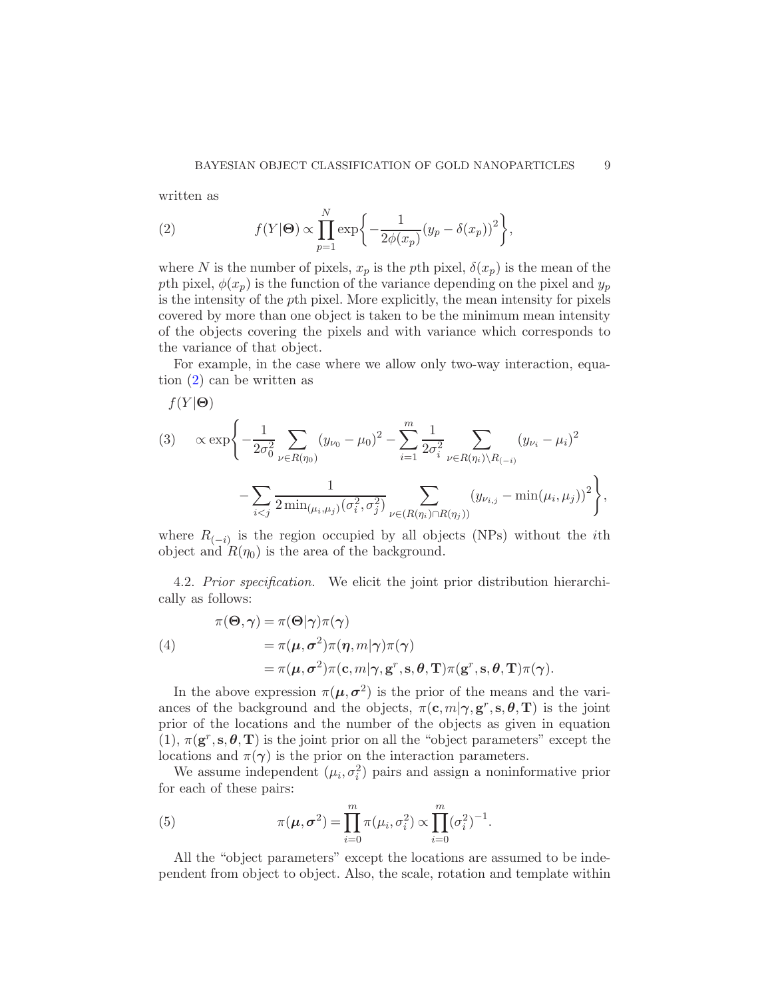written as

<span id="page-8-0"></span>(2) 
$$
f(Y|\Theta) \propto \prod_{p=1}^{N} \exp\bigg\{-\frac{1}{2\phi(x_p)}(y_p - \delta(x_p))^2\bigg\},\,
$$

where N is the number of pixels,  $x_p$  is the pth pixel,  $\delta(x_p)$  is the mean of the pth pixel,  $\phi(x_p)$  is the function of the variance depending on the pixel and  $y_p$ is the intensity of the pth pixel. More explicitly, the mean intensity for pixels covered by more than one object is taken to be the minimum mean intensity of the objects covering the pixels and with variance which corresponds to the variance of that object.

For example, in the case where we allow only two-way interaction, equation [\(2\)](#page-8-0) can be written as

<span id="page-8-2"></span>
$$
f(Y|\Theta)
$$
\n
$$
(3) \quad \propto \exp\left\{-\frac{1}{2\sigma_0^2} \sum_{\nu \in R(\eta_0)} (y_{\nu_0} - \mu_0)^2 - \sum_{i=1}^m \frac{1}{2\sigma_i^2} \sum_{\nu \in R(\eta_i) \setminus R_{(-i)}} (y_{\nu_i} - \mu_i)^2 - \sum_{i < j} \frac{1}{2\min_{(\mu_i, \mu_j)} (\sigma_i^2, \sigma_j^2)} \sum_{\nu \in (R(\eta_i) \cap R(\eta_j))} (y_{\nu_{i,j}} - \min(\mu_i, \mu_j))^2\right\},
$$

where  $R_{(-i)}$  is the region occupied by all objects (NPs) without the *i*th object and  $R(\eta_0)$  is the area of the background.

<span id="page-8-1"></span>4.2. Prior specification. We elicit the joint prior distribution hierarchically as follows:

(4)  
\n
$$
\pi(\Theta, \gamma) = \pi(\Theta | \gamma) \pi(\gamma)
$$
\n
$$
= \pi(\mu, \sigma^2) \pi(\eta, m | \gamma) \pi(\gamma)
$$
\n
$$
= \pi(\mu, \sigma^2) \pi(c, m | \gamma, g^r, s, \theta, T) \pi(g^r, s, \theta, T) \pi(\gamma).
$$

In the above expression  $\pi(\mu, \sigma^2)$  is the prior of the means and the variances of the background and the objects,  $\pi(\mathbf{c}, m | \boldsymbol{\gamma}, \mathbf{g}^r, \mathbf{s}, \boldsymbol{\theta}, \mathbf{T})$  is the joint prior of the locations and the number of the objects as given in equation (1),  $\pi(\mathbf{g}^r, \mathbf{s}, \theta, \mathbf{T})$  is the joint prior on all the "object parameters" except the locations and  $\pi(\gamma)$  is the prior on the interaction parameters.

We assume independent  $(\mu_i, \sigma_i^2)$  pairs and assign a noninformative prior for each of these pairs:

(5) 
$$
\pi(\mu, \sigma^2) = \prod_{i=0}^m \pi(\mu_i, \sigma_i^2) \propto \prod_{i=0}^m (\sigma_i^2)^{-1}.
$$

All the "object parameters" except the locations are assumed to be independent from object to object. Also, the scale, rotation and template within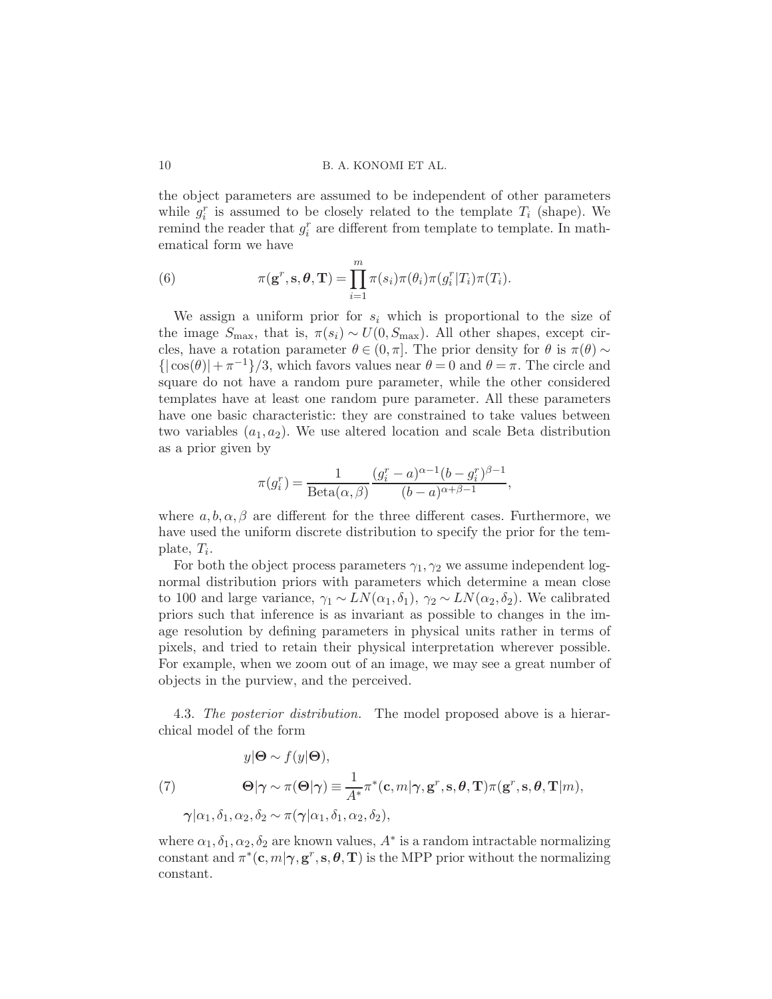the object parameters are assumed to be independent of other parameters while  $g_i^r$  is assumed to be closely related to the template  $T_i$  (shape). We remind the reader that  $g_i^r$  are different from template to template. In mathematical form we have

(6) 
$$
\pi(\mathbf{g}^r, \mathbf{s}, \boldsymbol{\theta}, \mathbf{T}) = \prod_{i=1}^m \pi(s_i) \pi(\theta_i) \pi(g_i^r | T_i) \pi(T_i).
$$

We assign a uniform prior for  $s_i$  which is proportional to the size of the image  $S_{\text{max}}$ , that is,  $\pi(s_i) \sim U(0, S_{\text{max}})$ . All other shapes, except circles, have a rotation parameter  $\theta \in (0, \pi]$ . The prior density for  $\theta$  is  $\pi(\theta) \sim$  $\{|\cos(\theta)| + \pi^{-1}\}/3$ , which favors values near  $\theta = 0$  and  $\theta = \pi$ . The circle and square do not have a random pure parameter, while the other considered templates have at least one random pure parameter. All these parameters have one basic characteristic: they are constrained to take values between two variables  $(a_1, a_2)$ . We use altered location and scale Beta distribution as a prior given by

$$
\pi(g_i^r) = \frac{1}{\text{Beta}(\alpha, \beta)} \frac{(g_i^r - a)^{\alpha - 1} (b - g_i^r)^{\beta - 1}}{(b - a)^{\alpha + \beta - 1}},
$$

where  $a, b, \alpha, \beta$  are different for the three different cases. Furthermore, we have used the uniform discrete distribution to specify the prior for the template,  $T_i$ .

For both the object process parameters  $\gamma_1, \gamma_2$  we assume independent lognormal distribution priors with parameters which determine a mean close to 100 and large variance,  $\gamma_1 \sim LN(\alpha_1, \delta_1)$ ,  $\gamma_2 \sim LN(\alpha_2, \delta_2)$ . We calibrated priors such that inference is as invariant as possible to changes in the image resolution by defining parameters in physical units rather in terms of pixels, and tried to retain their physical interpretation wherever possible. For example, when we zoom out of an image, we may see a great number of objects in the purview, and the perceived.

4.3. The posterior distribution. The model proposed above is a hierarchical model of the form

(7)  
\n
$$
y|\mathbf{\Theta} \sim f(y|\mathbf{\Theta}),
$$
\n
$$
\mathbf{\Theta}|\gamma \sim \pi(\mathbf{\Theta}|\gamma) \equiv \frac{1}{A^*} \pi^*(\mathbf{c}, m|\gamma, \mathbf{g}^r, \mathbf{s}, \mathbf{\theta}, \mathbf{T}) \pi(\mathbf{g}^r, \mathbf{s}, \mathbf{\theta}, \mathbf{T}|m),
$$
\n
$$
\gamma|\alpha_1, \delta_1, \alpha_2, \delta_2 \sim \pi(\gamma|\alpha_1, \delta_1, \alpha_2, \delta_2),
$$

where  $\alpha_1, \delta_1, \alpha_2, \delta_2$  are known values,  $A^*$  is a random intractable normalizing constant and  $\pi^*(c, m | \gamma, g^r, s, \theta, T)$  is the MPP prior without the normalizing constant.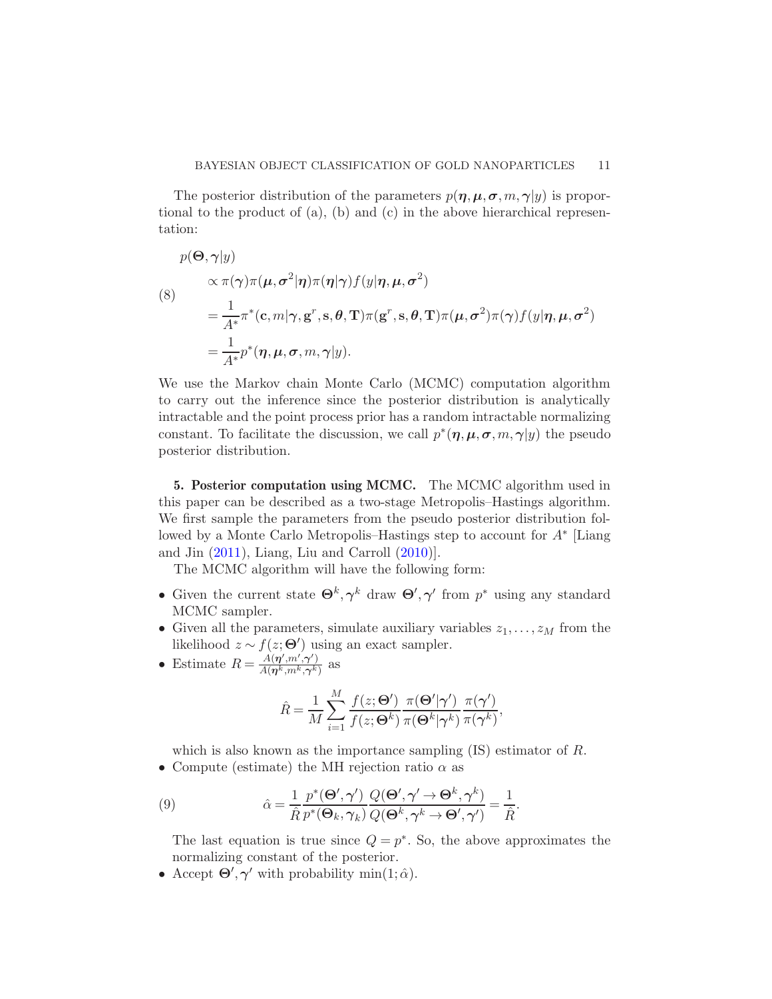The posterior distribution of the parameters  $p(\eta, \mu, \sigma, m, \gamma | y)$  is proportional to the product of  $(a)$ ,  $(b)$  and  $(c)$  in the above hierarchical representation:

$$
p(\mathbf{\Theta}, \boldsymbol{\gamma} | y)
$$
  
\n
$$
\propto \pi(\boldsymbol{\gamma})\pi(\boldsymbol{\mu}, \sigma^2 | \boldsymbol{\eta})\pi(\boldsymbol{\eta} | \boldsymbol{\gamma})f(y | \boldsymbol{\eta}, \boldsymbol{\mu}, \sigma^2)
$$
  
\n(8)  
\n
$$
= \frac{1}{A^*}\pi^*(\mathbf{c}, m | \boldsymbol{\gamma}, \mathbf{g}^r, \mathbf{s}, \boldsymbol{\theta}, \mathbf{T})\pi(\mathbf{g}^r, \mathbf{s}, \boldsymbol{\theta}, \mathbf{T})\pi(\boldsymbol{\mu}, \sigma^2)\pi(\boldsymbol{\gamma})f(y | \boldsymbol{\eta}, \boldsymbol{\mu}, \sigma^2)
$$
  
\n
$$
= \frac{1}{A^*}p^*(\boldsymbol{\eta}, \boldsymbol{\mu}, \sigma, m, \boldsymbol{\gamma} | y).
$$

We use the Markov chain Monte Carlo (MCMC) computation algorithm to carry out the inference since the posterior distribution is analytically intractable and the point process prior has a random intractable normalizing constant. To facilitate the discussion, we call  $p^*(\eta, \mu, \sigma, m, \gamma | y)$  the pseudo posterior distribution.

<span id="page-10-0"></span>5. Posterior computation using MCMC. The MCMC algorithm used in this paper can be described as a two-stage Metropolis–Hastings algorithm. We first sample the parameters from the pseudo posterior distribution followed by a Monte Carlo Metropolis–Hastings step to account for A<sup>∗</sup> [Liang and Jin  $(2011)$ , Liang, Liu and Carroll  $(2010)$ .

The MCMC algorithm will have the following form:

- Given the current state  $\Theta^k, \gamma^k$  draw  $\Theta', \gamma'$  from  $p^*$  using any standard MCMC sampler.
- Given all the parameters, simulate auxiliary variables  $z_1, \ldots, z_M$  from the likelihood  $z \sim f(z; \Theta')$  using an exact sampler.
- Estimate  $R = \frac{A(\eta', m', \gamma')}{A(\eta k, m k, \gamma k')}$  $\frac{A(\boldsymbol{\eta}^{\prime},m,\boldsymbol{\gamma}^{\prime})}{A(\boldsymbol{\eta}^{k},m^{k},\boldsymbol{\gamma}^{k})}$  as

$$
\hat{R} = \frac{1}{M} \sum_{i=1}^{M} \frac{f(z; \mathbf{\Theta}')}{f(z; \mathbf{\Theta}^k)} \frac{\pi(\mathbf{\Theta}'|\boldsymbol{\gamma}')}{\pi(\mathbf{\Theta}^k|\boldsymbol{\gamma}^k)} \frac{\pi(\boldsymbol{\gamma}')}{\pi(\boldsymbol{\gamma}^k)},
$$

which is also known as the importance sampling  $(IS)$  estimator of R. • Compute (estimate) the MH rejection ratio  $\alpha$  as

(9) 
$$
\hat{\alpha} = \frac{1}{\hat{R}} \frac{p^*(\mathbf{\Theta}', \boldsymbol{\gamma}')}{p^*(\mathbf{\Theta}_k, \boldsymbol{\gamma}_k)} \frac{Q(\mathbf{\Theta}', \boldsymbol{\gamma}' \to \mathbf{\Theta}^k, \boldsymbol{\gamma}^k)}{Q(\mathbf{\Theta}^k, \boldsymbol{\gamma}^k \to \mathbf{\Theta}', \boldsymbol{\gamma}') } = \frac{1}{\hat{R}}.
$$

<span id="page-10-1"></span>The last equation is true since  $Q = p^*$ . So, the above approximates the normalizing constant of the posterior.

• Accept  $\Theta', \gamma'$  with probability min $(1; \hat{\alpha})$ .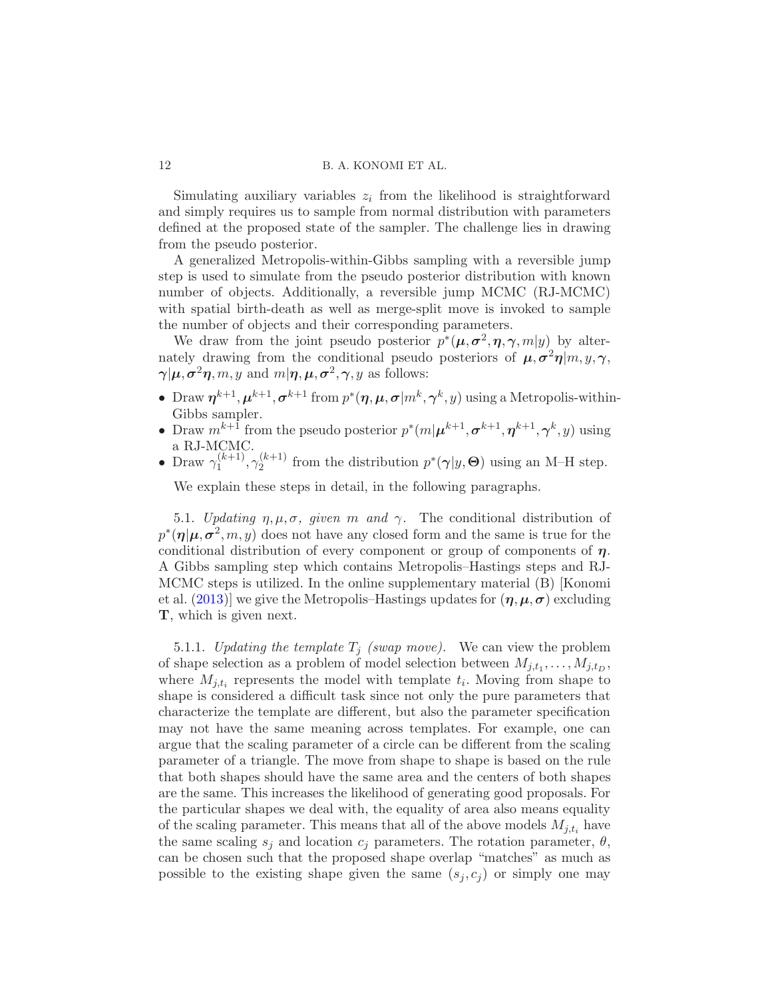Simulating auxiliary variables  $z_i$  from the likelihood is straightforward and simply requires us to sample from normal distribution with parameters defined at the proposed state of the sampler. The challenge lies in drawing from the pseudo posterior.

A generalized Metropolis-within-Gibbs sampling with a reversible jump step is used to simulate from the pseudo posterior distribution with known number of objects. Additionally, a reversible jump MCMC (RJ-MCMC) with spatial birth-death as well as merge-split move is invoked to sample the number of objects and their corresponding parameters.

We draw from the joint pseudo posterior  $p^*(\mu, \sigma^2, \eta, \gamma, m|y)$  by alternately drawing from the conditional pseudo posteriors of  $\mu, \sigma^2 \eta | m, y, \gamma$ ,  $\boldsymbol{\gamma} | \boldsymbol{\mu}, \boldsymbol{\sigma}^2 \boldsymbol{\eta}, m, y \text{ and } m | \boldsymbol{\eta}, \boldsymbol{\mu}, \boldsymbol{\sigma}^2, \boldsymbol{\gamma}, y \text{ as follows: }$ 

- Draw  $\eta^{k+1}, \mu^{k+1}, \sigma^{k+1}$  from  $p^*(\eta, \mu, \sigma | m^k, \gamma^k, y)$  using a Metropolis-within-Gibbs sampler.
- Draw  $m^{k+1}$  from the pseudo posterior  $p^*(m|\boldsymbol{\mu}^{k+1}, \boldsymbol{\sigma}^{k+1}, \boldsymbol{\eta}^{k+1}, \gamma^k, y)$  using a RJ-MCMC.
- Draw  $\gamma_1^{(k+1)}$  $\gamma_1^{(k+1)}, \gamma_2^{(k+1)}$  $2^{(k+1)}$  from the distribution  $p^*(\gamma|y, \Theta)$  using an M-H step.

We explain these steps in detail, in the following paragraphs.

5.1. Updating  $\eta, \mu, \sigma$ , given m and  $\gamma$ . The conditional distribution of  $p^*(\eta | \mu, \sigma^2, m, y)$  does not have any closed form and the same is true for the conditional distribution of every component or group of components of  $\eta$ . A Gibbs sampling step which contains Metropolis–Hastings steps and RJ-MCMC steps is utilized. In the online supplementary material (B) [Konomi et al. [\(2013](#page-28-15))] we give the Metropolis–Hastings updates for  $(\eta, \mu, \sigma)$  excluding T, which is given next.

5.1.1. Updating the template  $T_j$  (swap move). We can view the problem of shape selection as a problem of model selection between  $M_{j,t_1}, \ldots, M_{j,t_D}$ , where  $M_{j,t_i}$  represents the model with template  $t_i$ . Moving from shape to shape is considered a difficult task since not only the pure parameters that characterize the template are different, but also the parameter specification may not have the same meaning across templates. For example, one can argue that the scaling parameter of a circle can be different from the scaling parameter of a triangle. The move from shape to shape is based on the rule that both shapes should have the same area and the centers of both shapes are the same. This increases the likelihood of generating good proposals. For the particular shapes we deal with, the equality of area also means equality of the scaling parameter. This means that all of the above models  $M_{i,t_i}$  have the same scaling  $s_j$  and location  $c_j$  parameters. The rotation parameter,  $\theta$ , can be chosen such that the proposed shape overlap "matches" as much as possible to the existing shape given the same  $(s_i, c_j)$  or simply one may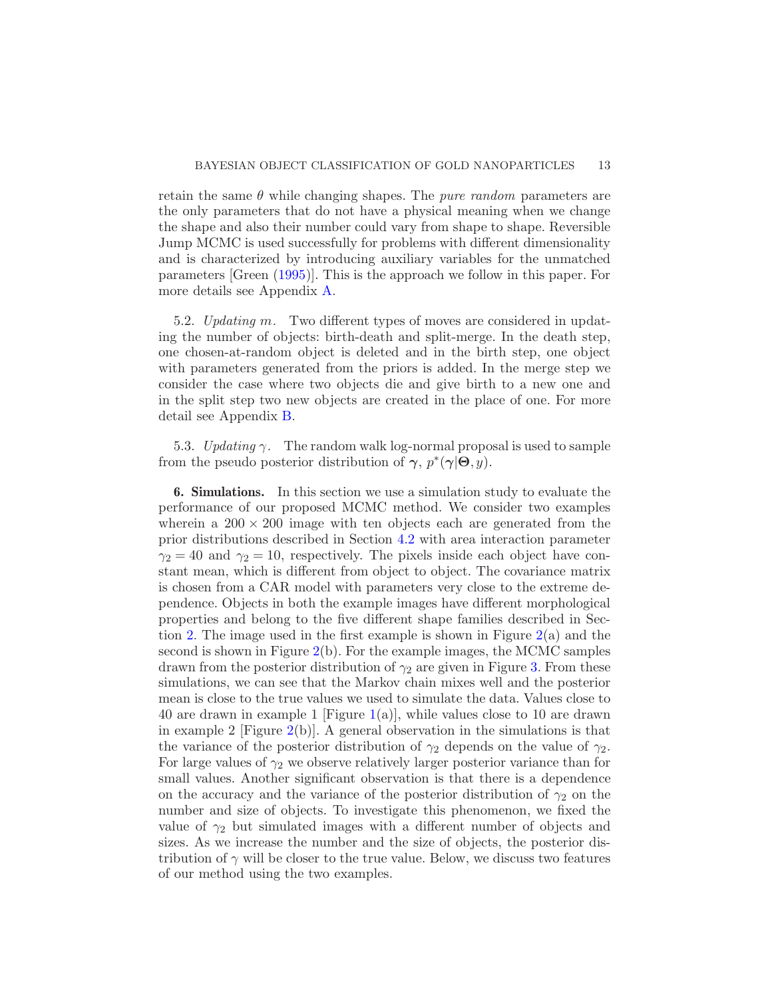retain the same  $\theta$  while changing shapes. The *pure random* parameters are the only parameters that do not have a physical meaning when we change the shape and also their number could vary from shape to shape. Reversible Jump MCMC is used successfully for problems with different dimensionality and is characterized by introducing auxiliary variables for the unmatched parameters [Green [\(1995](#page-28-14))]. This is the approach we follow in this paper. For more details see Appendix [A.](#page-25-0)

5.2. Updating m. Two different types of moves are considered in updating the number of objects: birth-death and split-merge. In the death step, one chosen-at-random object is deleted and in the birth step, one object with parameters generated from the priors is added. In the merge step we consider the case where two objects die and give birth to a new one and in the split step two new objects are created in the place of one. For more detail see Appendix [B.](#page-25-1)

5.3. Updating  $\gamma$ . The random walk log-normal proposal is used to sample from the pseudo posterior distribution of  $\gamma$ ,  $p^*(\gamma | \Theta, y)$ .

<span id="page-12-0"></span>6. Simulations. In this section we use a simulation study to evaluate the performance of our proposed MCMC method. We consider two examples wherein a  $200 \times 200$  image with ten objects each are generated from the prior distributions described in Section [4.2](#page-8-1) with area interaction parameter  $\gamma_2 = 40$  and  $\gamma_2 = 10$ , respectively. The pixels inside each object have constant mean, which is different from object to object. The covariance matrix is chosen from a CAR model with parameters very close to the extreme dependence. Objects in both the example images have different morphological properties and belong to the five different shape families described in Section [2.](#page-3-0) The image used in the first example is shown in Figure [2\(](#page-13-0)a) and the second is shown in Figure  $2(b)$  $2(b)$ . For the example images, the MCMC samples drawn from the posterior distribution of  $\gamma_2$  are given in Figure [3.](#page-13-1) From these simulations, we can see that the Markov chain mixes well and the posterior mean is close to the true values we used to simulate the data. Values close to 40 are drawn in example 1 [Figure [1\(](#page-4-0)a)], while values close to 10 are drawn in example 2 [Figure [2\(](#page-13-0)b)]. A general observation in the simulations is that the variance of the posterior distribution of  $\gamma_2$  depends on the value of  $\gamma_2$ . For large values of  $\gamma_2$  we observe relatively larger posterior variance than for small values. Another significant observation is that there is a dependence on the accuracy and the variance of the posterior distribution of  $\gamma_2$  on the number and size of objects. To investigate this phenomenon, we fixed the value of  $\gamma_2$  but simulated images with a different number of objects and sizes. As we increase the number and the size of objects, the posterior distribution of  $\gamma$  will be closer to the true value. Below, we discuss two features of our method using the two examples.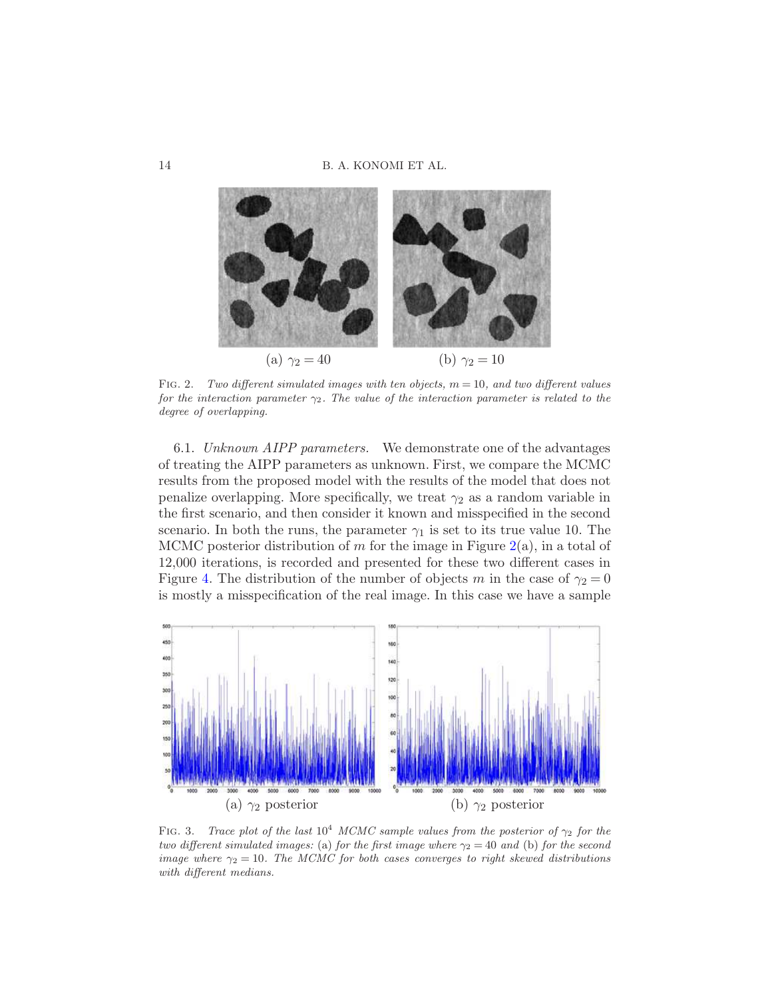

<span id="page-13-0"></span>FIG. 2. Two different simulated images with ten objects,  $m = 10$ , and two different values for the interaction parameter  $\gamma_2$ . The value of the interaction parameter is related to the degree of overlapping.

6.1. Unknown AIPP parameters. We demonstrate one of the advantages of treating the AIPP parameters as unknown. First, we compare the MCMC results from the proposed model with the results of the model that does not penalize overlapping. More specifically, we treat  $\gamma_2$  as a random variable in the first scenario, and then consider it known and misspecified in the second scenario. In both the runs, the parameter  $\gamma_1$  is set to its true value 10. The MCMC posterior distribution of m for the image in Figure  $2(a)$  $2(a)$ , in a total of 12,000 iterations, is recorded and presented for these two different cases in Figure [4.](#page-14-0) The distribution of the number of objects m in the case of  $\gamma_2 = 0$ is mostly a misspecification of the real image. In this case we have a sample



<span id="page-13-1"></span>FIG. 3. Trace plot of the last  $10^4$  MCMC sample values from the posterior of  $\gamma_2$  for the two different simulated images: (a) for the first image where  $\gamma_2 = 40$  and (b) for the second image where  $\gamma_2 = 10$ . The MCMC for both cases converges to right skewed distributions with different medians.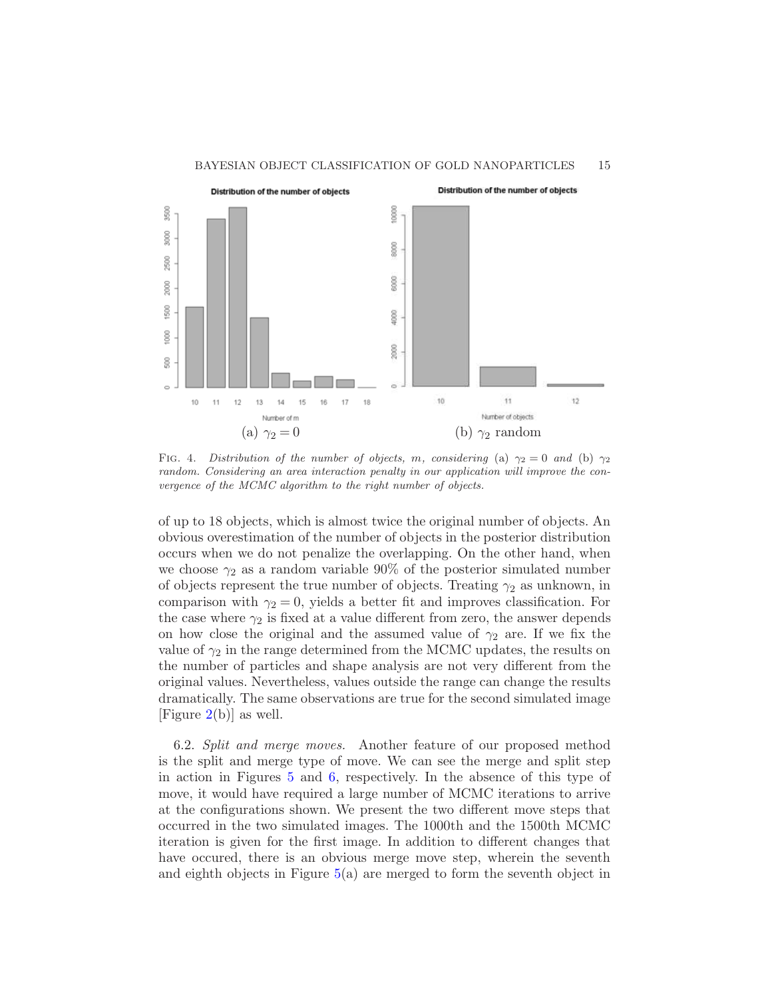#### BAYESIAN OBJECT CLASSIFICATION OF GOLD NANOPARTICLES 15



<span id="page-14-0"></span>FIG. 4. Distribution of the number of objects, m, considering (a)  $\gamma_2 = 0$  and (b)  $\gamma_2$ random. Considering an area interaction penalty in our application will improve the convergence of the MCMC algorithm to the right number of objects.

of up to 18 objects, which is almost twice the original number of objects. An obvious overestimation of the number of objects in the posterior distribution occurs when we do not penalize the overlapping. On the other hand, when we choose  $\gamma_2$  as a random variable 90% of the posterior simulated number of objects represent the true number of objects. Treating  $\gamma_2$  as unknown, in comparison with  $\gamma_2 = 0$ , yields a better fit and improves classification. For the case where  $\gamma_2$  is fixed at a value different from zero, the answer depends on how close the original and the assumed value of  $\gamma_2$  are. If we fix the value of  $\gamma_2$  in the range determined from the MCMC updates, the results on the number of particles and shape analysis are not very different from the original values. Nevertheless, values outside the range can change the results dramatically. The same observations are true for the second simulated image [Figure  $2(b)$  $2(b)$ ] as well.

6.2. Split and merge moves. Another feature of our proposed method is the split and merge type of move. We can see the merge and split step in action in Figures [5](#page-15-0) and [6,](#page-15-1) respectively. In the absence of this type of move, it would have required a large number of MCMC iterations to arrive at the configurations shown. We present the two different move steps that occurred in the two simulated images. The 1000th and the 1500th MCMC iteration is given for the first image. In addition to different changes that have occured, there is an obvious merge move step, wherein the seventh and eighth objects in Figure [5\(](#page-15-0)a) are merged to form the seventh object in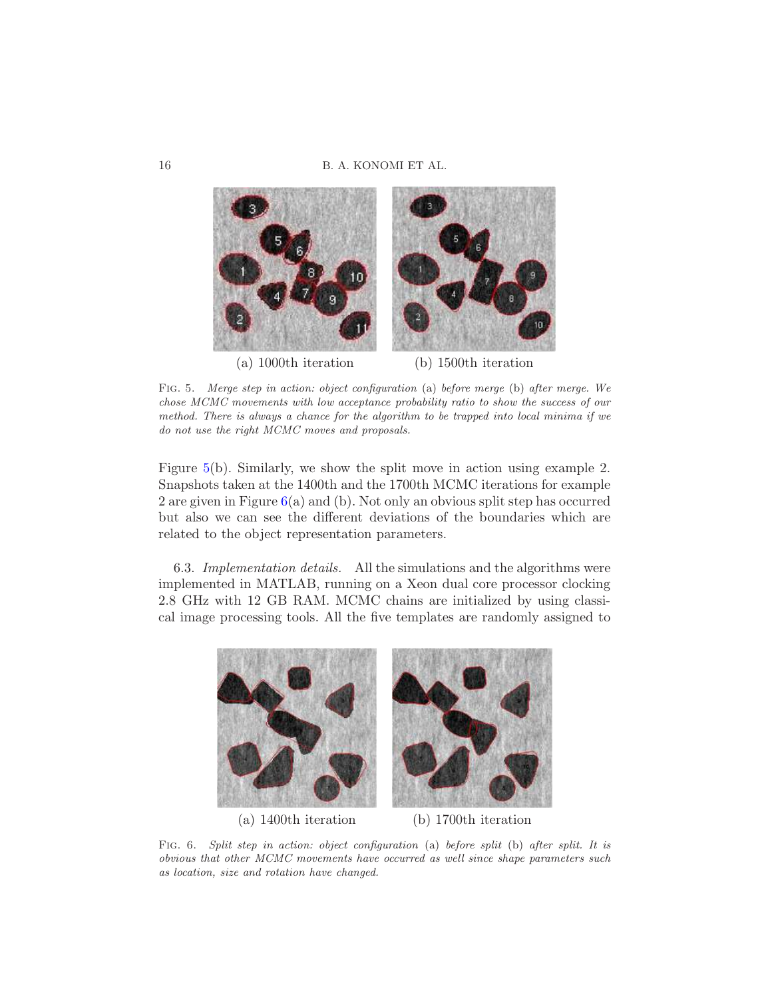

Fig. 5. Merge step in action: object configuration (a) before merge (b) after merge. We chose MCMC movements with low acceptance probability ratio to show the success of our method. There is always a chance for the algorithm to be trapped into local minima if we do not use the right MCMC moves and proposals.

<span id="page-15-0"></span>Figure [5\(](#page-15-0)b). Similarly, we show the split move in action using example 2. Snapshots taken at the 1400th and the 1700th MCMC iterations for example 2 are given in Figure [6\(](#page-15-1)a) and (b). Not only an obvious split step has occurred but also we can see the different deviations of the boundaries which are related to the object representation parameters.

6.3. Implementation details. All the simulations and the algorithms were implemented in MATLAB, running on a Xeon dual core processor clocking 2.8 GHz with 12 GB RAM. MCMC chains are initialized by using classical image processing tools. All the five templates are randomly assigned to



<span id="page-15-1"></span>(a) 1400th iteration (b) 1700th iteration

FIG. 6. Split step in action: object configuration (a) before split (b) after split. It is obvious that other MCMC movements have occurred as well since shape parameters such as location, size and rotation have changed.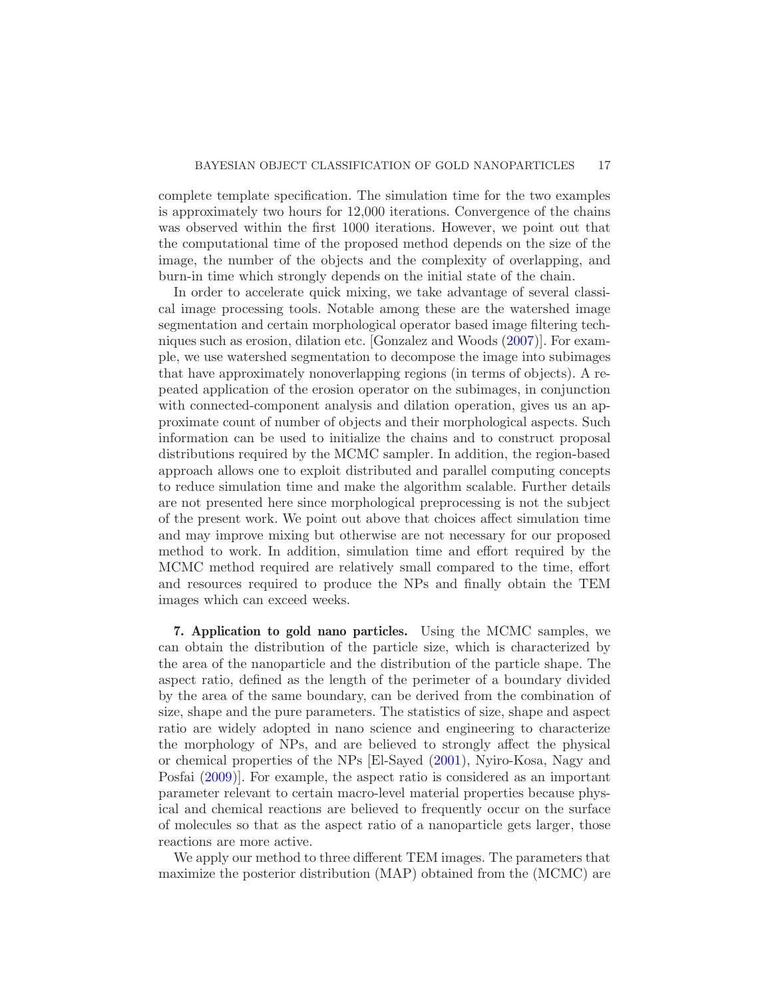complete template specification. The simulation time for the two examples is approximately two hours for 12,000 iterations. Convergence of the chains was observed within the first 1000 iterations. However, we point out that the computational time of the proposed method depends on the size of the image, the number of the objects and the complexity of overlapping, and burn-in time which strongly depends on the initial state of the chain.

In order to accelerate quick mixing, we take advantage of several classical image processing tools. Notable among these are the watershed image segmentation and certain morphological operator based image filtering techniques such as erosion, dilation etc. [Gonzalez and Woods [\(2007](#page-28-17))]. For example, we use watershed segmentation to decompose the image into subimages that have approximately nonoverlapping regions (in terms of objects). A repeated application of the erosion operator on the subimages, in conjunction with connected-component analysis and dilation operation, gives us an approximate count of number of objects and their morphological aspects. Such information can be used to initialize the chains and to construct proposal distributions required by the MCMC sampler. In addition, the region-based approach allows one to exploit distributed and parallel computing concepts to reduce simulation time and make the algorithm scalable. Further details are not presented here since morphological preprocessing is not the subject of the present work. We point out above that choices affect simulation time and may improve mixing but otherwise are not necessary for our proposed method to work. In addition, simulation time and effort required by the MCMC method required are relatively small compared to the time, effort and resources required to produce the NPs and finally obtain the TEM images which can exceed weeks.

<span id="page-16-0"></span>7. Application to gold nano particles. Using the MCMC samples, we can obtain the distribution of the particle size, which is characterized by the area of the nanoparticle and the distribution of the particle shape. The aspect ratio, defined as the length of the perimeter of a boundary divided by the area of the same boundary, can be derived from the combination of size, shape and the pure parameters. The statistics of size, shape and aspect ratio are widely adopted in nano science and engineering to characterize the morphology of NPs, and are believed to strongly affect the physical or chemical properties of the NPs [El-Sayed [\(2001](#page-27-7)), Nyiro-Kosa, Nagy and Posfai [\(2009](#page-29-9))]. For example, the aspect ratio is considered as an important parameter relevant to certain macro-level material properties because physical and chemical reactions are believed to frequently occur on the surface of molecules so that as the aspect ratio of a nanoparticle gets larger, those reactions are more active.

We apply our method to three different TEM images. The parameters that maximize the posterior distribution (MAP) obtained from the (MCMC) are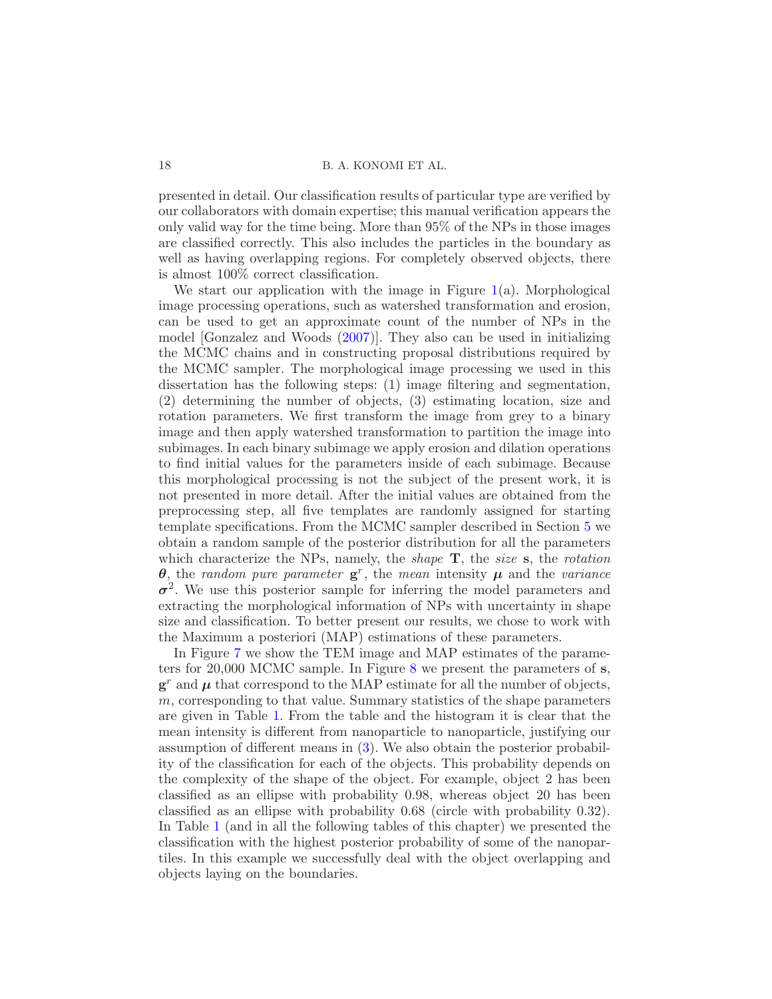presented in detail. Our classification results of particular type are verified by our collaborators with domain expertise; this manual verification appears the only valid way for the time being. More than 95% of the NPs in those images are classified correctly. This also includes the particles in the boundary as well as having overlapping regions. For completely observed objects, there is almost 100% correct classification.

We start our application with the image in Figure  $1(a)$  $1(a)$ . Morphological image processing operations, such as watershed transformation and erosion, can be used to get an approximate count of the number of NPs in the model [Gonzalez and Woods [\(2007](#page-28-17))]. They also can be used in initializing the MCMC chains and in constructing proposal distributions required by the MCMC sampler. The morphological image processing we used in this dissertation has the following steps: (1) image filtering and segmentation, (2) determining the number of objects, (3) estimating location, size and rotation parameters. We first transform the image from grey to a binary image and then apply watershed transformation to partition the image into subimages. In each binary subimage we apply erosion and dilation operations to find initial values for the parameters inside of each subimage. Because this morphological processing is not the subject of the present work, it is not presented in more detail. After the initial values are obtained from the preprocessing step, all five templates are randomly assigned for starting template specifications. From the MCMC sampler described in Section [5](#page-10-0) we obtain a random sample of the posterior distribution for all the parameters which characterize the NPs, namely, the *shape*  $\mathbf{T}$ , the *size* s, the *rotation*  $\theta$ , the random pure parameter  $g^r$ , the mean intensity  $\mu$  and the variance  $\sigma^2$ . We use this posterior sample for inferring the model parameters and extracting the morphological information of NPs with uncertainty in shape size and classification. To better present our results, we chose to work with the Maximum a posteriori (MAP) estimations of these parameters.

In Figure [7](#page-18-0) we show the TEM image and MAP estimates of the parameters for 20,000 MCMC sample. In Figure [8](#page-18-1) we present the parameters of s,  $g^r$  and  $\mu$  that correspond to the MAP estimate for all the number of objects,  $m$ , corresponding to that value. Summary statistics of the shape parameters are given in Table [1.](#page-19-0) From the table and the histogram it is clear that the mean intensity is different from nanoparticle to nanoparticle, justifying our assumption of different means in [\(3\)](#page-8-2). We also obtain the posterior probability of the classification for each of the objects. This probability depends on the complexity of the shape of the object. For example, object 2 has been classified as an ellipse with probability 0.98, whereas object 20 has been classified as an ellipse with probability 0.68 (circle with probability 0.32). In Table [1](#page-19-0) (and in all the following tables of this chapter) we presented the classification with the highest posterior probability of some of the nanopartiles. In this example we successfully deal with the object overlapping and objects laying on the boundaries.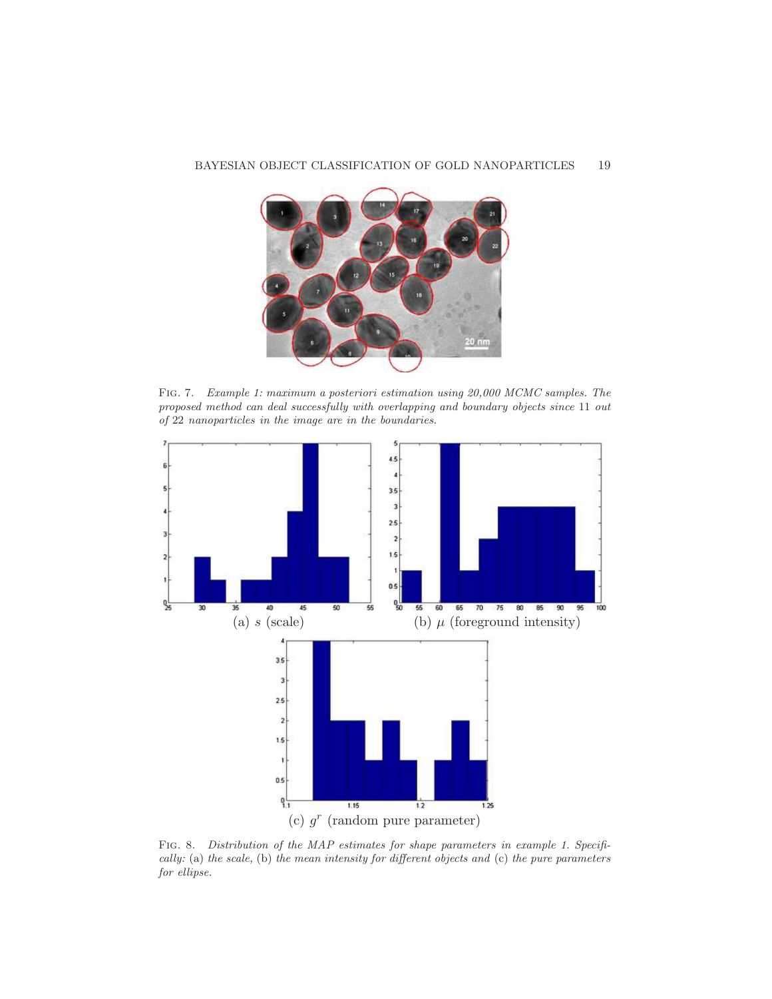## BAYESIAN OBJECT CLASSIFICATION OF GOLD NANOPARTICLES 19

<span id="page-18-0"></span>Fig. 7. Example 1: maximum a posteriori estimation using 20,000 MCMC samples. The proposed method can deal successfully with overlapping and boundary objects since 11 out of 22 nanoparticles in the image are in the boundaries.



<span id="page-18-1"></span>FIG. 8. Distribution of the MAP estimates for shape parameters in example 1. Specifically: (a) the scale, (b) the mean intensity for different objects and (c) the pure parameters for ellipse.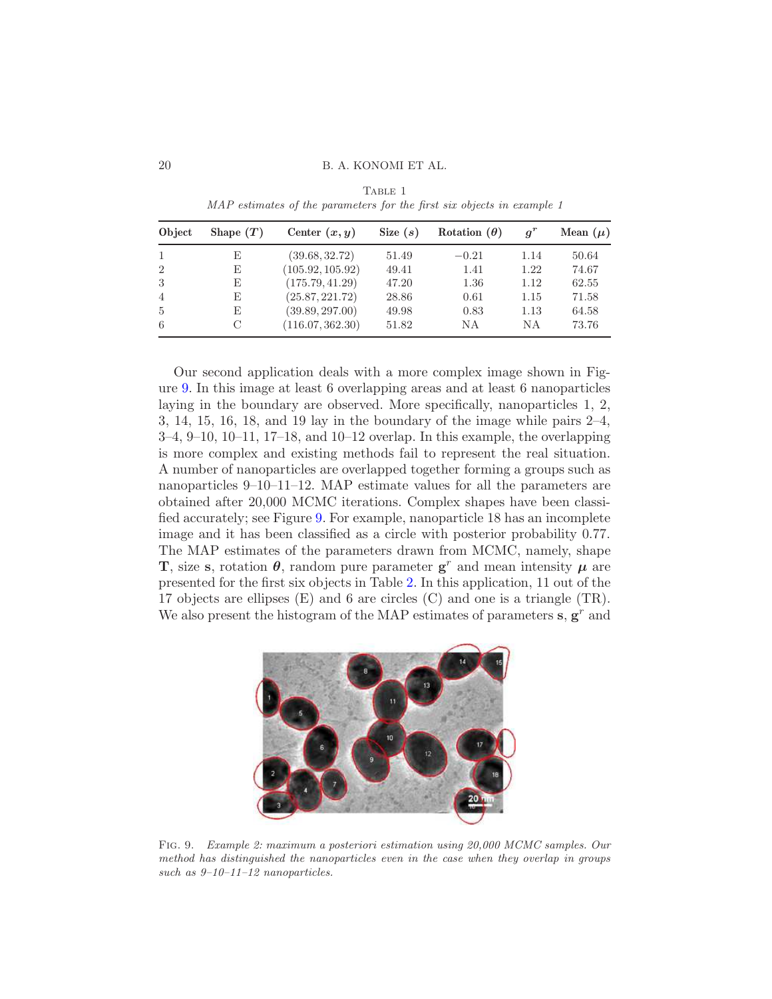20 B. A. KONOMI ET AL.

<span id="page-19-0"></span>

| Object         | Shape $(T)$ | Center $(x, y)$  | Size $(s)$ | Rotation $(\theta)$ |      | Mean $(\mu)$ |
|----------------|-------------|------------------|------------|---------------------|------|--------------|
|                | E           | (39.68, 32.72)   | 51.49      | $-0.21$             | 1.14 | 50.64        |
| $\overline{2}$ | E           | (105.92, 105.92) | 49.41      | 1.41                | 1.22 | 74.67        |
| 3              | E           | (175.79, 41.29)  | 47.20      | 1.36                | 1.12 | 62.55        |
| 4              | E           | (25.87, 221.72)  | 28.86      | 0.61                | 1.15 | 71.58        |
| $\frac{5}{2}$  | E           | (39.89, 297.00)  | 49.98      | 0.83                | 1.13 | 64.58        |
| 6              | C           | (116.07, 362.30) | 51.82      | ΝA                  | ΝA   | 73.76        |

TABLE 1 MAP estimates of the parameters for the first six objects in example 1

Our second application deals with a more complex image shown in Figure [9.](#page-19-1) In this image at least 6 overlapping areas and at least 6 nanoparticles laying in the boundary are observed. More specifically, nanoparticles 1, 2, 3, 14, 15, 16, 18, and 19 lay in the boundary of the image while pairs 2–4, 3–4, 9–10, 10–11, 17–18, and 10–12 overlap. In this example, the overlapping is more complex and existing methods fail to represent the real situation. A number of nanoparticles are overlapped together forming a groups such as nanoparticles 9–10–11–12. MAP estimate values for all the parameters are obtained after 20,000 MCMC iterations. Complex shapes have been classified accurately; see Figure [9.](#page-19-1) For example, nanoparticle 18 has an incomplete image and it has been classified as a circle with posterior probability 0.77. The MAP estimates of the parameters drawn from MCMC, namely, shape **T**, size s, rotation  $\theta$ , random pure parameter  $g^r$  and mean intensity  $\mu$  are presented for the first six objects in Table [2.](#page-20-0) In this application, 11 out of the 17 objects are ellipses  $(E)$  and 6 are circles  $(C)$  and one is a triangle  $(TR)$ . We also present the histogram of the MAP estimates of parameters  $s, g<sup>r</sup>$  and

<span id="page-19-1"></span>

Fig. 9. Example 2: maximum a posteriori estimation using 20,000 MCMC samples. Our method has distinguished the nanoparticles even in the case when they overlap in groups such as  $9-10-11-12$  nanoparticles.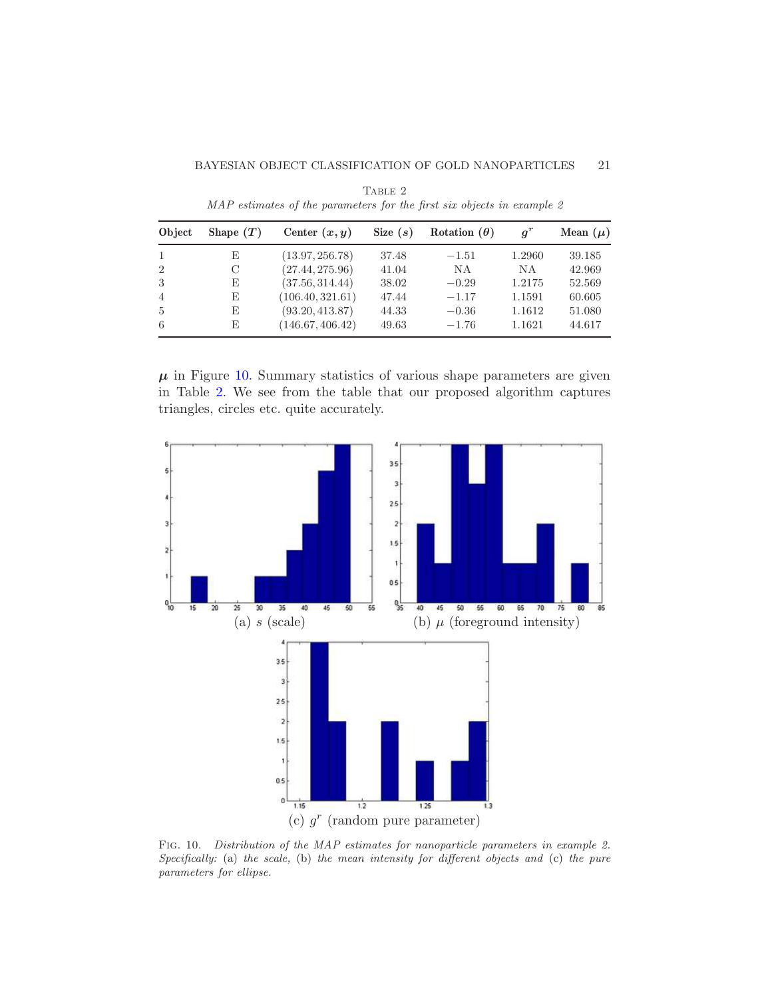## BAYESIAN OBJECT CLASSIFICATION OF GOLD NANOPARTICLES 21

<span id="page-20-0"></span>

| Object         | Shape $(T)$ | Center $(x, y)$  | Size $(s)$ | Rotation $(\theta)$ | $q^r$  | Mean $(\mu)$ |
|----------------|-------------|------------------|------------|---------------------|--------|--------------|
| -1             | E           | (13.97, 256.78)  | 37.48      | $-1.51$             | 1.2960 | 39.185       |
| 2              | С           | (27.44, 275.96)  | 41.04      | N A                 | ΝA     | 42.969       |
| 3              | E           | (37.56, 314.44)  | 38.02      | $-0.29$             | 1.2175 | 52.569       |
| $\overline{4}$ | E           | (106.40, 321.61) | 47.44      | $-1.17$             | 1.1591 | 60.605       |
| $\frac{5}{2}$  | E           | (93.20, 413.87)  | 44.33      | $-0.36$             | 1.1612 | 51.080       |
| -6             | E           | (146.67, 406.42) | 49.63      | $-1.76$             | 1.1621 | 44.617       |

TABLE 2 MAP estimates of the parameters for the first six objects in example 2

 $\mu$  in Figure [10.](#page-20-1) Summary statistics of various shape parameters are given in Table [2.](#page-20-0) We see from the table that our proposed algorithm captures triangles, circles etc. quite accurately.



<span id="page-20-1"></span>Fig. 10. Distribution of the MAP estimates for nanoparticle parameters in example 2. Specifically: (a) the scale, (b) the mean intensity for different objects and (c) the pure parameters for ellipse.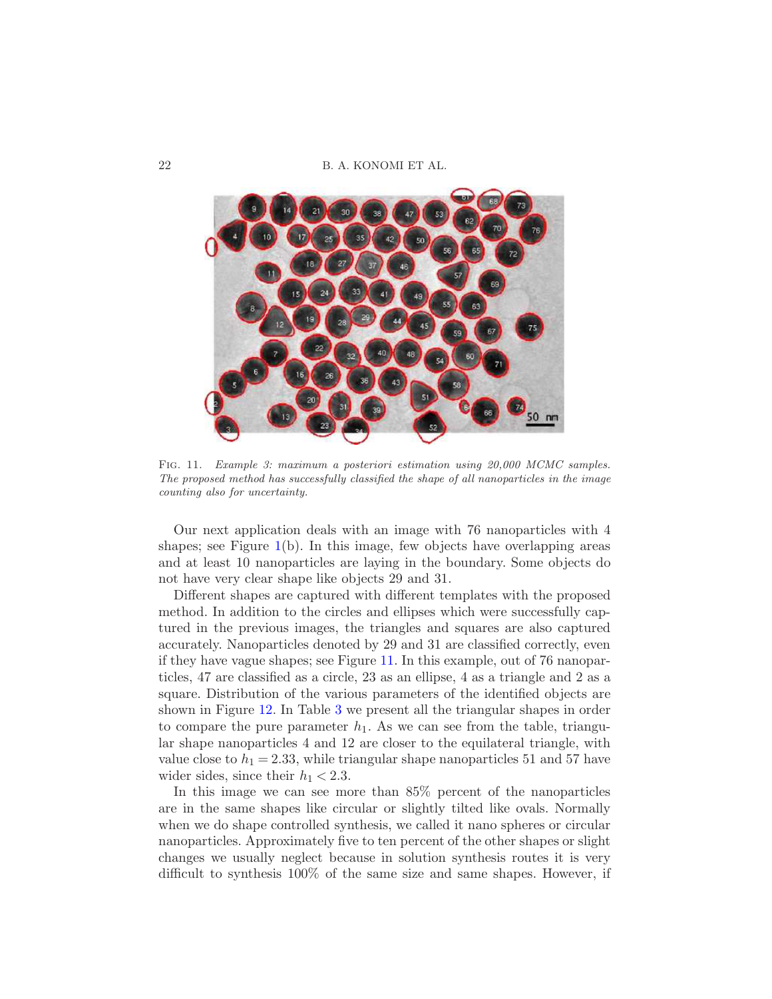22 B. A. KONOMI ET AL.



Fig. 11. Example 3: maximum a posteriori estimation using 20,000 MCMC samples. The proposed method has successfully classified the shape of all nanoparticles in the image counting also for uncertainty.

<span id="page-21-0"></span>Our next application deals with an image with 76 nanoparticles with 4 shapes; see Figure  $1(b)$  $1(b)$ . In this image, few objects have overlapping areas and at least 10 nanoparticles are laying in the boundary. Some objects do not have very clear shape like objects 29 and 31.

Different shapes are captured with different templates with the proposed method. In addition to the circles and ellipses which were successfully captured in the previous images, the triangles and squares are also captured accurately. Nanoparticles denoted by 29 and 31 are classified correctly, even if they have vague shapes; see Figure [11.](#page-21-0) In this example, out of 76 nanoparticles, 47 are classified as a circle, 23 as an ellipse, 4 as a triangle and 2 as a square. Distribution of the various parameters of the identified objects are shown in Figure [12.](#page-22-0) In Table [3](#page-22-1) we present all the triangular shapes in order to compare the pure parameter  $h_1$ . As we can see from the table, triangular shape nanoparticles 4 and 12 are closer to the equilateral triangle, with value close to  $h_1 = 2.33$ , while triangular shape nanoparticles 51 and 57 have wider sides, since their  $h_1 < 2.3$ .

In this image we can see more than 85% percent of the nanoparticles are in the same shapes like circular or slightly tilted like ovals. Normally when we do shape controlled synthesis, we called it nano spheres or circular nanoparticles. Approximately five to ten percent of the other shapes or slight changes we usually neglect because in solution synthesis routes it is very difficult to synthesis 100% of the same size and same shapes. However, if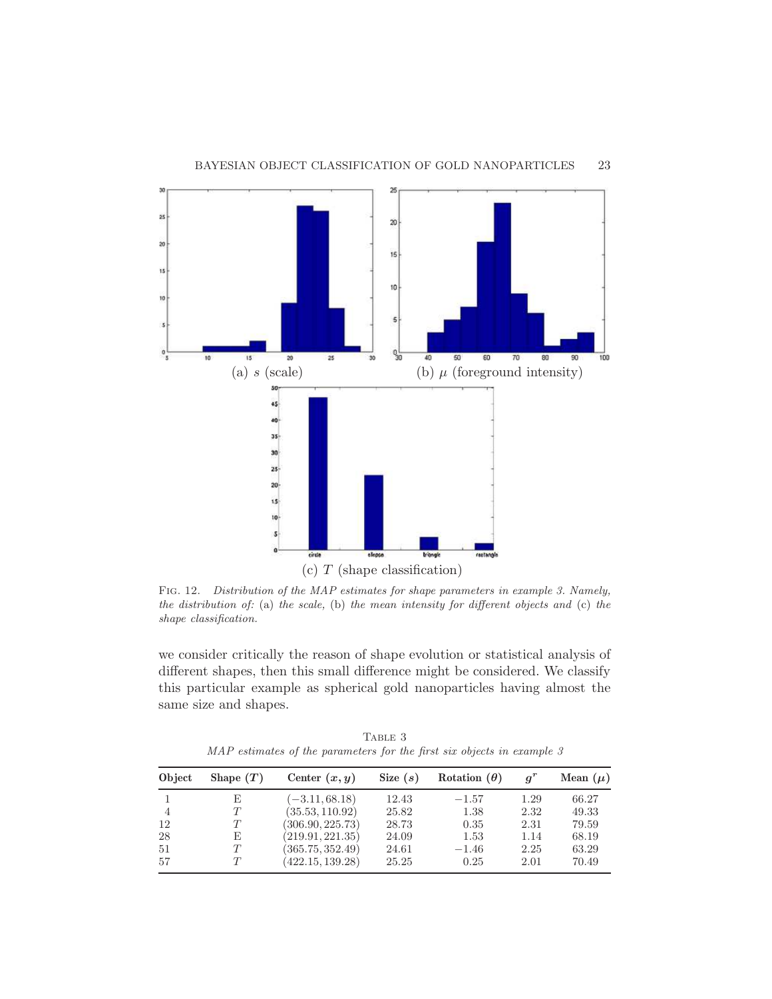

<span id="page-22-0"></span>Fig. 12. Distribution of the MAP estimates for shape parameters in example 3. Namely, the distribution of: (a) the scale, (b) the mean intensity for different objects and (c) the shape classification.

we consider critically the reason of shape evolution or statistical analysis of different shapes, then this small difference might be considered. We classify this particular example as spherical gold nanoparticles having almost the same size and shapes.

TABLE 3 MAP estimates of the parameters for the first six objects in example 3

<span id="page-22-1"></span>

| Object | Shape $(T)$ | Center $(x, y)$  | Size $(s)$ | Rotation $(\theta)$ | $q^r$ | Mean $(\mu)$ |
|--------|-------------|------------------|------------|---------------------|-------|--------------|
|        | E           | $(-3.11, 68.18)$ | 12.43      | $-1.57$             | 1.29  | 66.27        |
| 4      |             | (35.53, 110.92)  | 25.82      | 1.38                | 2.32  | 49.33        |
| 12     |             | (306.90, 225.73) | 28.73      | 0.35                | 2.31  | 79.59        |
| 28     | E           | (219.91, 221.35) | 24.09      | 1.53                | 1.14  | 68.19        |
| 51     | T           | (365.75, 352.49) | 24.61      | $-1.46$             | 2.25  | 63.29        |
| 57     | $\tau$      | (422.15, 139.28) | 25.25      | 0.25                | 2.01  | 70.49        |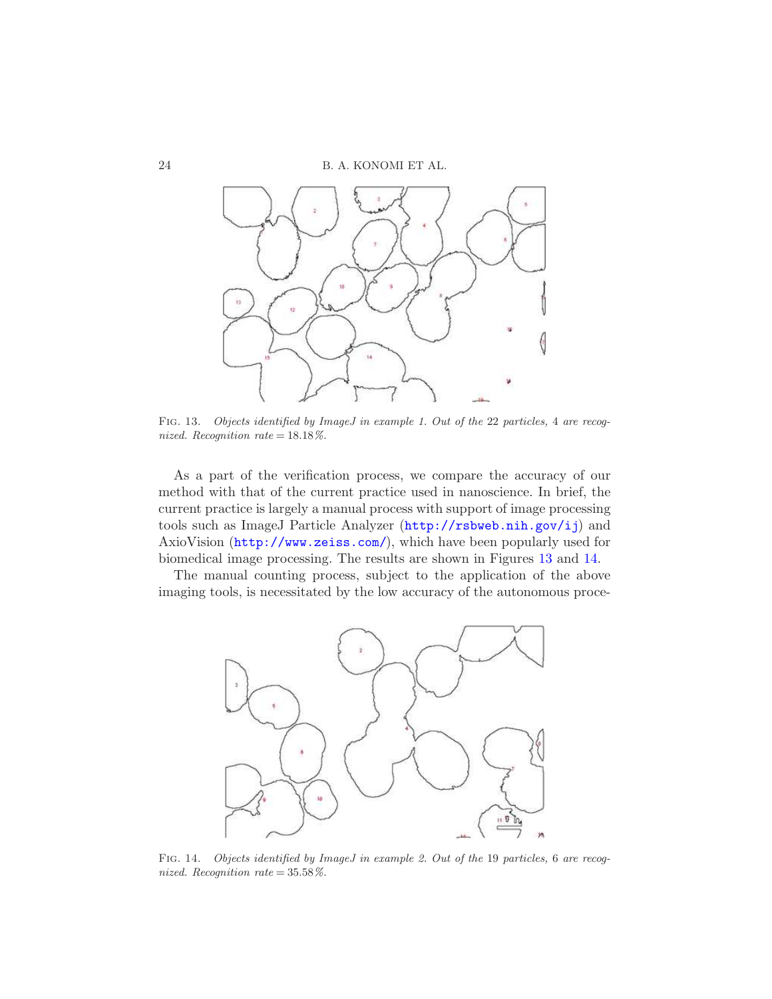24 B. A. KONOMI ET AL.



<span id="page-23-0"></span>Fig. 13. Objects identified by ImageJ in example 1. Out of the 22 particles, 4 are recognized. Recognition rate =  $18.18\%$ .

As a part of the verification process, we compare the accuracy of our method with that of the current practice used in nanoscience. In brief, the current practice is largely a manual process with support of image processing tools such as ImageJ Particle Analyzer (<http://rsbweb.nih.gov/ij>) and AxioVision (<http://www.zeiss.com/>), which have been popularly used for biomedical image processing. The results are shown in Figures [13](#page-23-0) and [14.](#page-23-1)

The manual counting process, subject to the application of the above imaging tools, is necessitated by the low accuracy of the autonomous proce-



<span id="page-23-1"></span>FIG. 14. Objects identified by ImageJ in example 2. Out of the 19 particles, 6 are recognized. Recognition rate =  $35.58\%$ .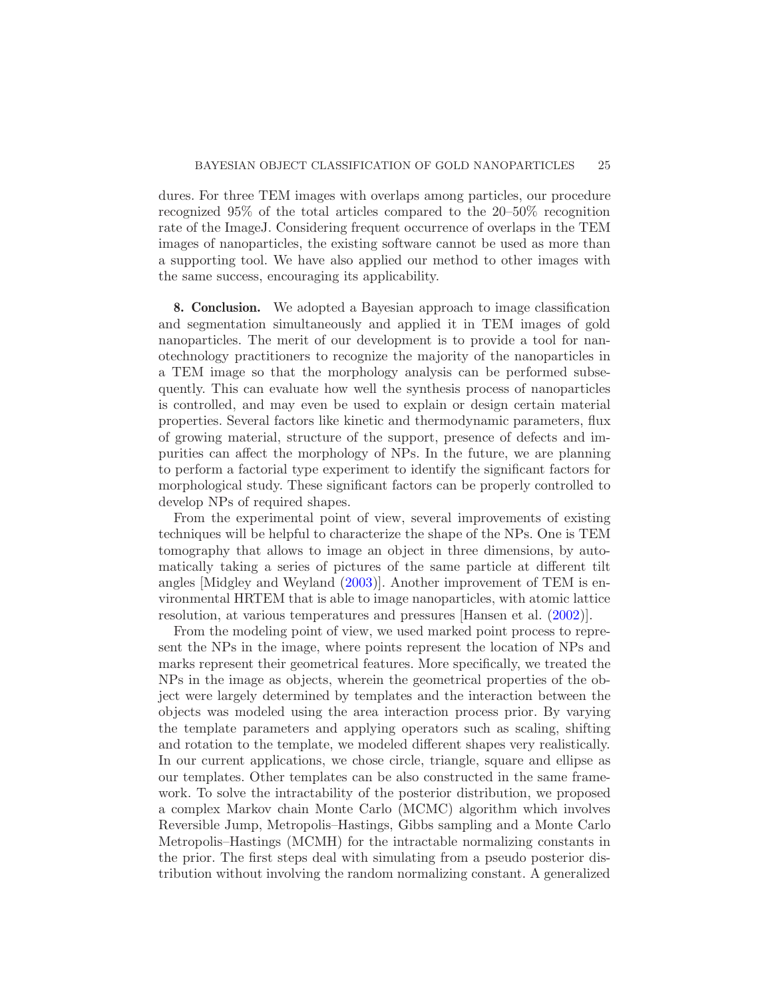dures. For three TEM images with overlaps among particles, our procedure recognized 95% of the total articles compared to the 20–50% recognition rate of the ImageJ. Considering frequent occurrence of overlaps in the TEM images of nanoparticles, the existing software cannot be used as more than a supporting tool. We have also applied our method to other images with the same success, encouraging its applicability.

<span id="page-24-0"></span>8. Conclusion. We adopted a Bayesian approach to image classification and segmentation simultaneously and applied it in TEM images of gold nanoparticles. The merit of our development is to provide a tool for nanotechnology practitioners to recognize the majority of the nanoparticles in a TEM image so that the morphology analysis can be performed subsequently. This can evaluate how well the synthesis process of nanoparticles is controlled, and may even be used to explain or design certain material properties. Several factors like kinetic and thermodynamic parameters, flux of growing material, structure of the support, presence of defects and impurities can affect the morphology of NPs. In the future, we are planning to perform a factorial type experiment to identify the significant factors for morphological study. These significant factors can be properly controlled to develop NPs of required shapes.

From the experimental point of view, several improvements of existing techniques will be helpful to characterize the shape of the NPs. One is TEM tomography that allows to image an object in three dimensions, by automatically taking a series of pictures of the same particle at different tilt angles [Midgley and Weyland [\(2003](#page-28-18))]. Another improvement of TEM is environmental HRTEM that is able to image nanoparticles, with atomic lattice resolution, at various temperatures and pressures [Hansen et al. [\(2002](#page-28-19))].

From the modeling point of view, we used marked point process to represent the NPs in the image, where points represent the location of NPs and marks represent their geometrical features. More specifically, we treated the NPs in the image as objects, wherein the geometrical properties of the object were largely determined by templates and the interaction between the objects was modeled using the area interaction process prior. By varying the template parameters and applying operators such as scaling, shifting and rotation to the template, we modeled different shapes very realistically. In our current applications, we chose circle, triangle, square and ellipse as our templates. Other templates can be also constructed in the same framework. To solve the intractability of the posterior distribution, we proposed a complex Markov chain Monte Carlo (MCMC) algorithm which involves Reversible Jump, Metropolis–Hastings, Gibbs sampling and a Monte Carlo Metropolis–Hastings (MCMH) for the intractable normalizing constants in the prior. The first steps deal with simulating from a pseudo posterior distribution without involving the random normalizing constant. A generalized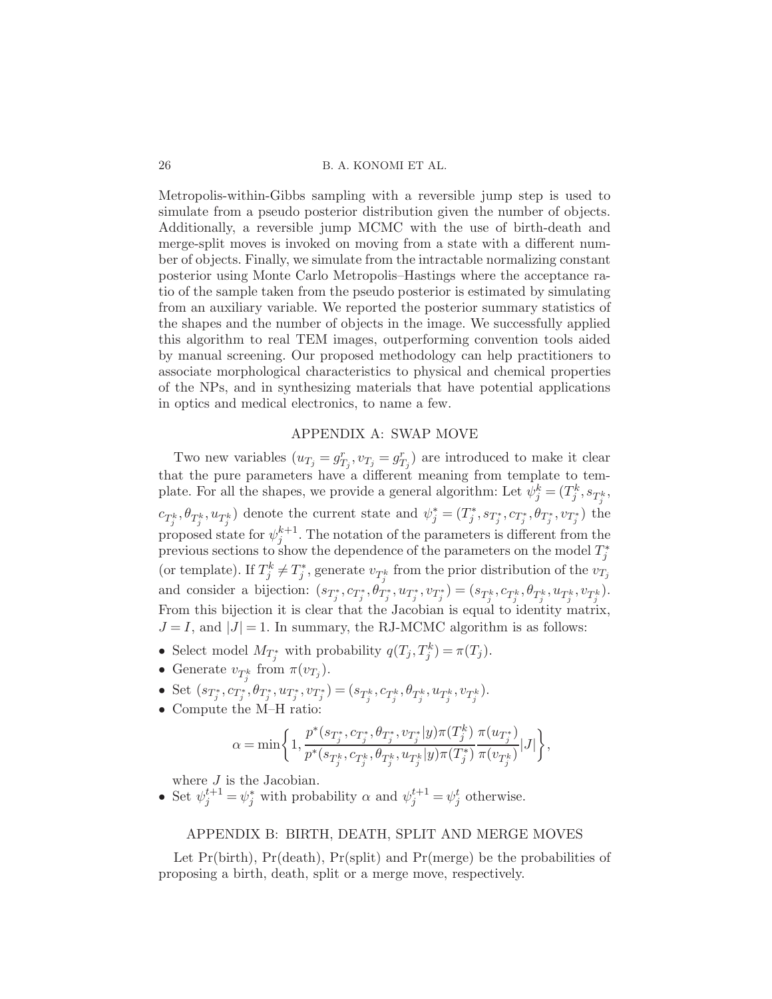Metropolis-within-Gibbs sampling with a reversible jump step is used to simulate from a pseudo posterior distribution given the number of objects. Additionally, a reversible jump MCMC with the use of birth-death and merge-split moves is invoked on moving from a state with a different number of objects. Finally, we simulate from the intractable normalizing constant posterior using Monte Carlo Metropolis–Hastings where the acceptance ratio of the sample taken from the pseudo posterior is estimated by simulating from an auxiliary variable. We reported the posterior summary statistics of the shapes and the number of objects in the image. We successfully applied this algorithm to real TEM images, outperforming convention tools aided by manual screening. Our proposed methodology can help practitioners to associate morphological characteristics to physical and chemical properties of the NPs, and in synthesizing materials that have potential applications in optics and medical electronics, to name a few.

## APPENDIX A: SWAP MOVE

<span id="page-25-0"></span>Two new variables  $(u_{T_j} = g_{T_j}^r, v_{T_j} = g_{T_j}^r)$  are introduced to make it clear that the pure parameters have a different meaning from template to template. For all the shapes, we provide a general algorithm: Let  $\psi_j^k = (T_j^k, s_{T_j^k},$  $c_{T_j^k}, \theta_{T_j^k}, u_{T_j^k}$  denote the current state and  $\psi_j^* = (T_j^*, s_{T_j^*}, c_{T_j^*}, \theta_{T_j^*}, v_{T_j^*})$  the proposed state for  $\psi_j^{k+1}$ . The notation of the parameters is different from the previous sections to show the dependence of the parameters on the model  $T_j^*$ (or template). If  $T_j^k \neq T_j^*$ , generate  $v_{T_j^k}$  from the prior distribution of the  $v_{T_j}$ and consider a bijection:  $(s_{T_j^*}, c_{T_j^*}, \theta_{T_j^*}, u_{T_j^*}, v_{T_j^*}) = (s_{T_j^k}, c_{T_j^k}, \theta_{T_j^k}, u_{T_j^k}, v_{T_j^k}).$ From this bijection it is clear that the Jacobian is equal to identity matrix,  $J = I$ , and  $|J| = 1$ . In summary, the RJ-MCMC algorithm is as follows:

- Select model  $M_{T_j^*}$  with probability  $q(T_j, T_j^k) = \pi(T_j)$ .
- Generate  $v_{T^k_i}$  from  $\pi(v_{T_j})$ .
- Set  $(s_{T_j^*}, c_{T_j^*}, \theta_{T_j^*}, u_{T_j^*}, v_{T_j^*}) = (s_{T_j^k}, c_{T_j^k}, \theta_{T_j^k}, u_{T_j^k}, v_{T_j^k}).$
- Compute the M–H ratio:

$$
\alpha=\min\biggl\{1,\frac{p^*(s_{T^*_j},c_{T^*_j},\theta_{T^*_j},v_{T^*_j}|y)\pi(T^k_j)}{p^*(s_{T^k_j},c_{T^k_j},\theta_{T^k_j},u_{T^k_j}|y)\pi(T^*_j)}\frac{\pi(u_{T^*_j})}{\pi(v_{T^k_j})}|J|\biggr\},
$$

where  $J$  is the Jacobian.

• Set  $\psi_j^{t+1} = \psi_j^*$  with probability  $\alpha$  and  $\psi_j^{t+1} = \psi_j^t$  otherwise.

## <span id="page-25-1"></span>APPENDIX B: BIRTH, DEATH, SPLIT AND MERGE MOVES

Let  $Pr(\text{birth})$ ,  $Pr(\text{death})$ ,  $Pr(\text{split})$  and  $Pr(\text{merge})$  be the probabilities of proposing a birth, death, split or a merge move, respectively.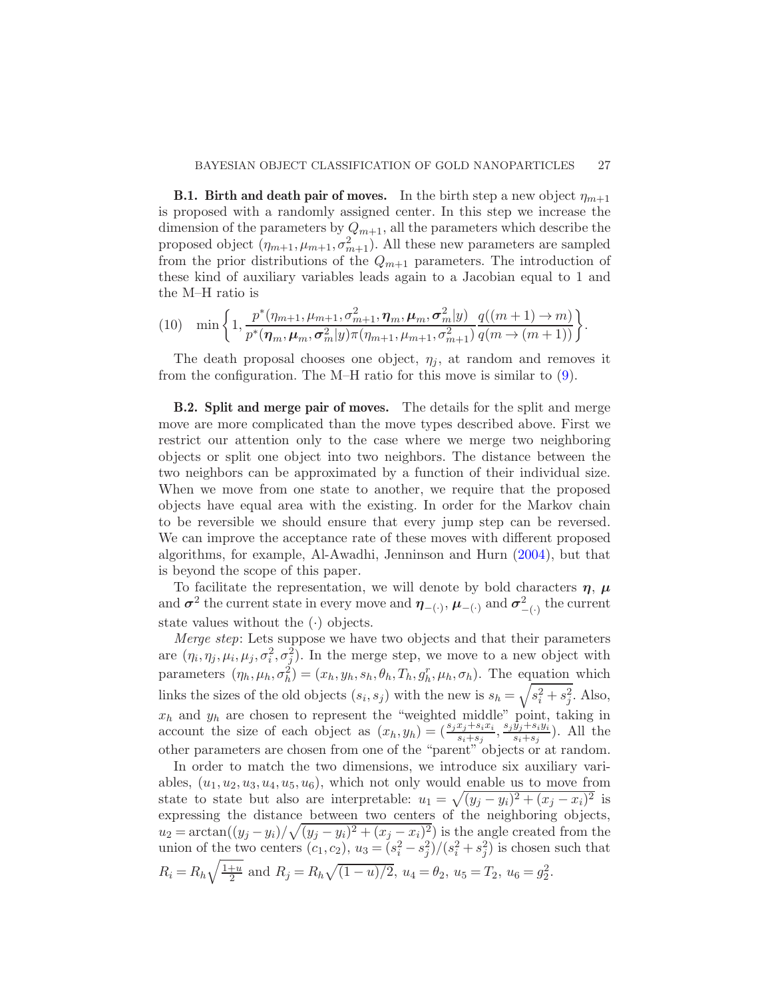**B.1. Birth and death pair of moves.** In the birth step a new object  $\eta_{m+1}$ is proposed with a randomly assigned center. In this step we increase the dimension of the parameters by  $Q_{m+1}$ , all the parameters which describe the proposed object  $(\eta_{m+1}, \mu_{m+1}, \sigma_{m+1}^2)$ . All these new parameters are sampled from the prior distributions of the  $Q_{m+1}$  parameters. The introduction of these kind of auxiliary variables leads again to a Jacobian equal to 1 and the M–H ratio is

$$
(10) \quad \min\left\{1, \frac{p^*(\eta_{m+1}, \mu_{m+1}, \sigma_{m+1}^2, \eta_m, \mu_m, \sigma_m^2|y)}{p^*(\eta_m, \mu_m, \sigma_m^2|y)\pi(\eta_{m+1}, \mu_{m+1}, \sigma_{m+1}^2)}\frac{q((m+1)\to m)}{q(m\to (m+1))}\right\}.
$$

The death proposal chooses one object,  $\eta_j$ , at random and removes it from the configuration. The M–H ratio for this move is similar to [\(9\)](#page-10-1).

B.2. Split and merge pair of moves. The details for the split and merge move are more complicated than the move types described above. First we restrict our attention only to the case where we merge two neighboring objects or split one object into two neighbors. The distance between the two neighbors can be approximated by a function of their individual size. When we move from one state to another, we require that the proposed objects have equal area with the existing. In order for the Markov chain to be reversible we should ensure that every jump step can be reversed. We can improve the acceptance rate of these moves with different proposed algorithms, for example, Al-Awadhi, Jenninson and Hurn [\(2004](#page-27-4)), but that is beyond the scope of this paper.

To facilitate the representation, we will denote by bold characters  $\eta$ ,  $\mu$ and  $\sigma^2$  the current state in every move and  $\eta_{-(\cdot)}, \mu_{-(\cdot)}$  and  $\sigma^2_{-(\cdot)}$  the current state values without the  $(\cdot)$  objects.

Merge step: Lets suppose we have two objects and that their parameters are  $(\eta_i, \eta_j, \mu_i, \mu_j, \sigma_i^2, \sigma_j^2)$ . In the merge step, we move to a new object with parameters  $(\eta_h, \mu_h, \sigma_h^2) = (x_h, y_h, s_h, \theta_h, T_h, g_h^r, \mu_h, \sigma_h)$ . The equation which links the sizes of the old objects  $(s_i, s_j)$  with the new is  $s_h = \sqrt{s_i^2 + s_j^2}$ . Also,  $x_h$  and  $y_h$  are chosen to represent the "weighted middle" point, taking in account the size of each object as  $(x_h, y_h) = \left(\frac{s_j x_j + s_i x_i}{s_i + s_j}, \frac{s_j \hat{y}_j + s_i y_i}{s_i + s_j}\right)$  $\frac{y_j+s_iy_i}{s_i+s_j}$ ). All the other parameters are chosen from one of the "parent" objects or at random.

In order to match the two dimensions, we introduce six auxiliary variables,  $(u_1, u_2, u_3, u_4, u_5, u_6)$ , which not only would enable us to move from state to state but also are interpretable:  $u_1 = \sqrt{(y_j - y_i)^2 + (x_j - x_i)^2}$  is expressing the distance between two centers of the neighboring objects,  $u_2 = \arctan((y_j - y_i)/\sqrt{(y_j - y_i)^2 + (x_j - x_i)^2})$  is the angle created from the union of the two centers  $(c_1, c_2)$ ,  $u_3 = (s_i^2 - s_j^2)/(s_i^2 + s_j^2)$  is chosen such that  $R_i = R_h \sqrt{\frac{1+u}{2}}$  $\frac{1+u}{2}$  and  $R_j = R_h \sqrt{(1-u)/2}$ ,  $u_4 = \theta_2$ ,  $u_5 = T_2$ ,  $u_6 = g_2^2$ .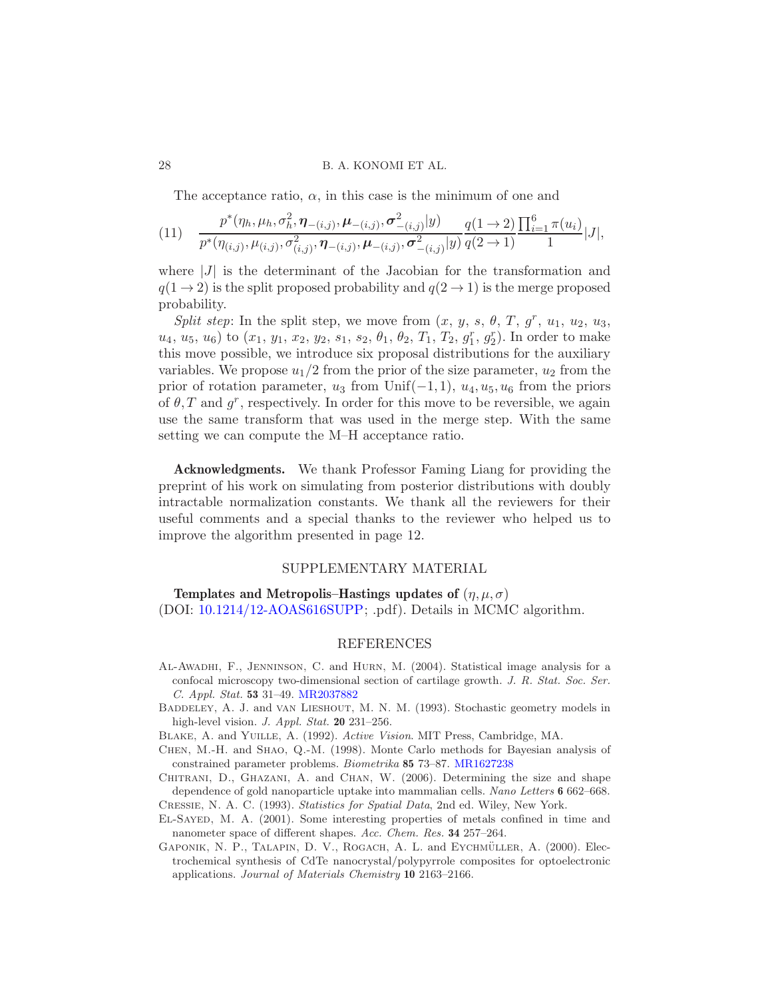The acceptance ratio,  $\alpha$ , in this case is the minimum of one and

$$
(11) \quad \frac{p^*(\eta_h, \mu_h, \sigma_h^2, \pmb{\eta}_{-(i,j)}, \pmb{\mu}_{-(i,j)}, \sigma_{-(i,j)}^2 | y)}{p^*(\eta_{(i,j)}, \mu_{(i,j)}, \sigma_{(i,j)}^2, \pmb{\eta}_{-(i,j)}, \pmb{\mu}_{-(i,j)}, \sigma_{-(i,j)}^2 | y)} \frac{q(1 \to 2)}{q(2 \to 1)} \frac{\prod_{i=1}^6 \pi(u_i)}{1} |J|,
$$

where  $|J|$  is the determinant of the Jacobian for the transformation and  $q(1 \rightarrow 2)$  is the split proposed probability and  $q(2 \rightarrow 1)$  is the merge proposed probability.

Split step: In the split step, we move from  $(x, y, s, \theta, T, g^r, u_1, u_2, u_3,$  $u_4, u_5, u_6$ ) to  $(x_1, y_1, x_2, y_2, s_1, s_2, \theta_1, \theta_2, T_1, T_2, g_1^r, g_2^r)$ . In order to make this move possible, we introduce six proposal distributions for the auxiliary variables. We propose  $u_1/2$  from the prior of the size parameter,  $u_2$  from the prior of rotation parameter,  $u_3$  from Unif( $-1, 1$ ),  $u_4, u_5, u_6$  from the priors of  $\theta$ , T and  $g^r$ , respectively. In order for this move to be reversible, we again use the same transform that was used in the merge step. With the same setting we can compute the M–H acceptance ratio.

Acknowledgments. We thank Professor Faming Liang for providing the preprint of his work on simulating from posterior distributions with doubly intractable normalization constants. We thank all the reviewers for their useful comments and a special thanks to the reviewer who helped us to improve the algorithm presented in page 12.

## SUPPLEMENTARY MATERIAL

Templates and Metropolis–Hastings updates of  $(\eta, \mu, \sigma)$ (DOI: [10.1214/12-AOAS616SUPP;](http://dx.doi.org/10.1214/12-AOAS616SUPP) .pdf). Details in MCMC algorithm.

## REFERENCES

- <span id="page-27-4"></span>Al-Awadhi, F., Jenninson, C. and Hurn, M. (2004). Statistical image analysis for a confocal microscopy two-dimensional section of cartilage growth. J. R. Stat. Soc. Ser. C. Appl. Stat. 53 31–49. [MR2037882](http://www.ams.org/mathscinet-getitem?mr=2037882)
- <span id="page-27-3"></span>BADDELEY, A. J. and VAN LIESHOUT, M. N. M. (1993). Stochastic geometry models in high-level vision. J. Appl. Stat. 20 231-256.
- <span id="page-27-2"></span>Blake, A. and Yuille, A. (1992). Active Vision. MIT Press, Cambridge, MA.
- <span id="page-27-5"></span>Chen, M.-H. and Shao, Q.-M. (1998). Monte Carlo methods for Bayesian analysis of constrained parameter problems. Biometrika 85 73–87. [MR1627238](http://www.ams.org/mathscinet-getitem?mr=1627238)
- <span id="page-27-1"></span>CHITRANI, D., GHAZANI, A. and CHAN, W. (2006). Determining the size and shape dependence of gold nanoparticle uptake into mammalian cells. Nano Letters 6 662–668. Cressie, N. A. C. (1993). Statistics for Spatial Data, 2nd ed. Wiley, New York.
- <span id="page-27-7"></span><span id="page-27-6"></span>El-Sayed, M. A. (2001). Some interesting properties of metals confined in time and nanometer space of different shapes. Acc. Chem. Res. 34 257–264.
- <span id="page-27-0"></span>GAPONIK, N. P., TALAPIN, D. V., ROGACH, A. L. and EYCHMÜLLER, A. (2000). Electrochemical synthesis of CdTe nanocrystal/polypyrrole composites for optoelectronic applications. Journal of Materials Chemistry 10 2163–2166.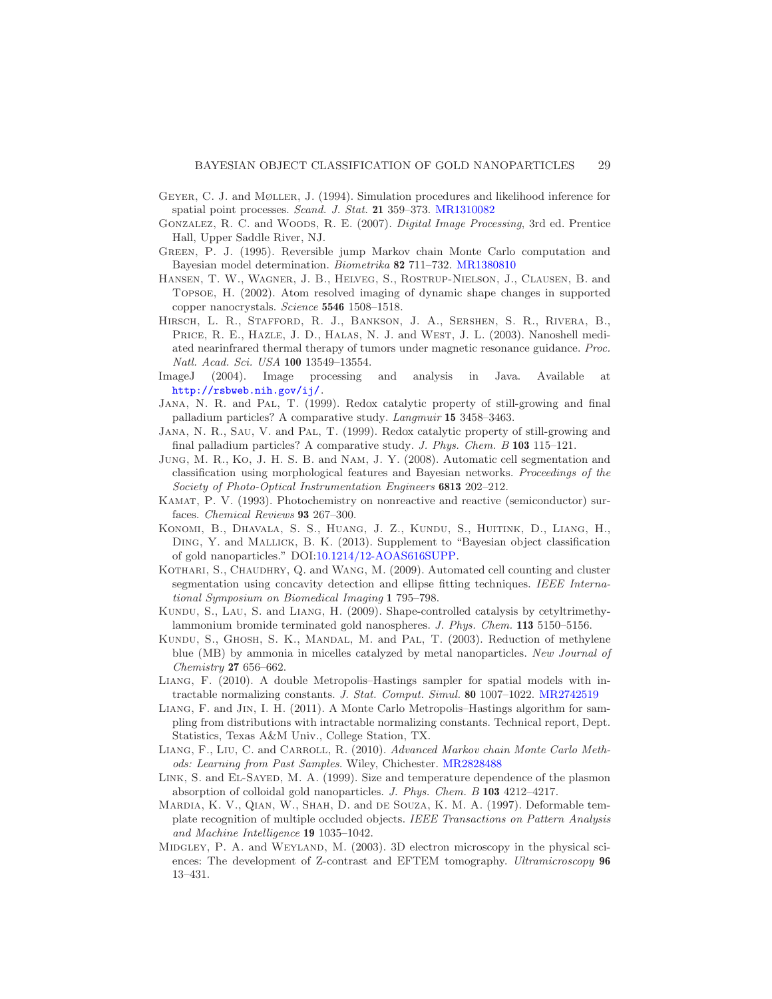- <span id="page-28-13"></span>Geyer, C. J. and Møller, J. (1994). Simulation procedures and likelihood inference for spatial point processes. Scand. J. Stat. 21 359–373. [MR1310082](http://www.ams.org/mathscinet-getitem?mr=1310082)
- <span id="page-28-17"></span>Gonzalez, R. C. and Woods, R. E. (2007). Digital Image Processing, 3rd ed. Prentice Hall, Upper Saddle River, NJ.
- <span id="page-28-14"></span>Green, P. J. (1995). Reversible jump Markov chain Monte Carlo computation and Bayesian model determination. Biometrika 82 711–732. [MR1380810](http://www.ams.org/mathscinet-getitem?mr=1380810)
- <span id="page-28-19"></span>Hansen, T. W., Wagner, J. B., Helveg, S., Rostrup-Nielson, J., Clausen, B. and Topsoe, H. (2002). Atom resolved imaging of dynamic shape changes in supported copper nanocrystals. Science 5546 1508–1518.
- <span id="page-28-5"></span>Hirsch, L. R., Stafford, R. J., Bankson, J. A., Sershen, S. R., Rivera, B., PRICE, R. E., HAZLE, J. D., HALAS, N. J. and WEST, J. L. (2003). Nanoshell mediated nearinfrared thermal therapy of tumors under magnetic resonance guidance. Proc. Natl. Acad. Sci. USA 100 13549–13554.
- <span id="page-28-9"></span>ImageJ (2004). Image processing and analysis in Java. Available at <http://rsbweb.nih.gov/ij/>.
- <span id="page-28-2"></span>Jana, N. R. and Pal, T. (1999). Redox catalytic property of still-growing and final palladium particles? A comparative study. Langmuir 15 3458–3463.
- <span id="page-28-1"></span>Jana, N. R., Sau, V. and Pal, T. (1999). Redox catalytic property of still-growing and final palladium particles? A comparative study. J. Phys. Chem. B 103 115–121.
- <span id="page-28-7"></span>Jung, M. R., Ko, J. H. S. B. and Nam, J. Y. (2008). Automatic cell segmentation and classification using morphological features and Bayesian networks. Proceedings of the Society of Photo-Optical Instrumentation Engineers 6813 202–212.
- <span id="page-28-4"></span>Kamat, P. V. (1993). Photochemistry on nonreactive and reactive (semiconductor) surfaces. Chemical Reviews 93 267–300.
- <span id="page-28-15"></span>Konomi, B., Dhavala, S. S., Huang, J. Z., Kundu, S., Huitink, D., Liang, H., Ding, Y. and Mallick, B. K. (2013). Supplement to "Bayesian object classification of gold nanoparticles." DOI[:10.1214/12-AOAS616SUPP.](http://dx.doi.org/10.1214/12-AOAS616SUPP)
- <span id="page-28-8"></span>KOTHARI, S., CHAUDHRY, Q. and WANG, M. (2009). Automated cell counting and cluster segmentation using concavity detection and ellipse fitting techniques. IEEE International Symposium on Biomedical Imaging 1 795–798.
- <span id="page-28-6"></span>Kundu, S., Lau, S. and Liang, H. (2009). Shape-controlled catalysis by cetyltrimethylammonium bromide terminated gold nanospheres. J. Phys. Chem. 113 5150–5156.
- <span id="page-28-0"></span>KUNDU, S., GHOSH, S. K., MANDAL, M. and PAL, T. (2003). Reduction of methylene blue (MB) by ammonia in micelles catalyzed by metal nanoparticles. New Journal of Chemistry 27 656–662.
- <span id="page-28-11"></span>Liang, F. (2010). A double Metropolis–Hastings sampler for spatial models with intractable normalizing constants. J. Stat. Comput. Simul. 80 1007–1022. [MR2742519](http://www.ams.org/mathscinet-getitem?mr=2742519)
- <span id="page-28-12"></span>Liang, F. and Jin, I. H. (2011). A Monte Carlo Metropolis–Hastings algorithm for sampling from distributions with intractable normalizing constants. Technical report, Dept. Statistics, Texas A&M Univ., College Station, TX.
- <span id="page-28-16"></span>LIANG, F., LIU, C. and CARROLL, R. (2010). Advanced Markov chain Monte Carlo Methods: Learning from Past Samples. Wiley, Chichester. [MR2828488](http://www.ams.org/mathscinet-getitem?mr=2828488)
- <span id="page-28-3"></span>Link, S. and El-Sayed, M. A. (1999). Size and temperature dependence of the plasmon absorption of colloidal gold nanoparticles. J. Phys. Chem. B 103 4212–4217.
- <span id="page-28-10"></span>Mardia, K. V., Qian, W., Shah, D. and de Souza, K. M. A. (1997). Deformable template recognition of multiple occluded objects. IEEE Transactions on Pattern Analysis and Machine Intelligence 19 1035–1042.
- <span id="page-28-18"></span>MIDGLEY, P. A. and WEYLAND, M. (2003). 3D electron microscopy in the physical sciences: The development of Z-contrast and EFTEM tomography. Ultramicroscopy 96 13–431.